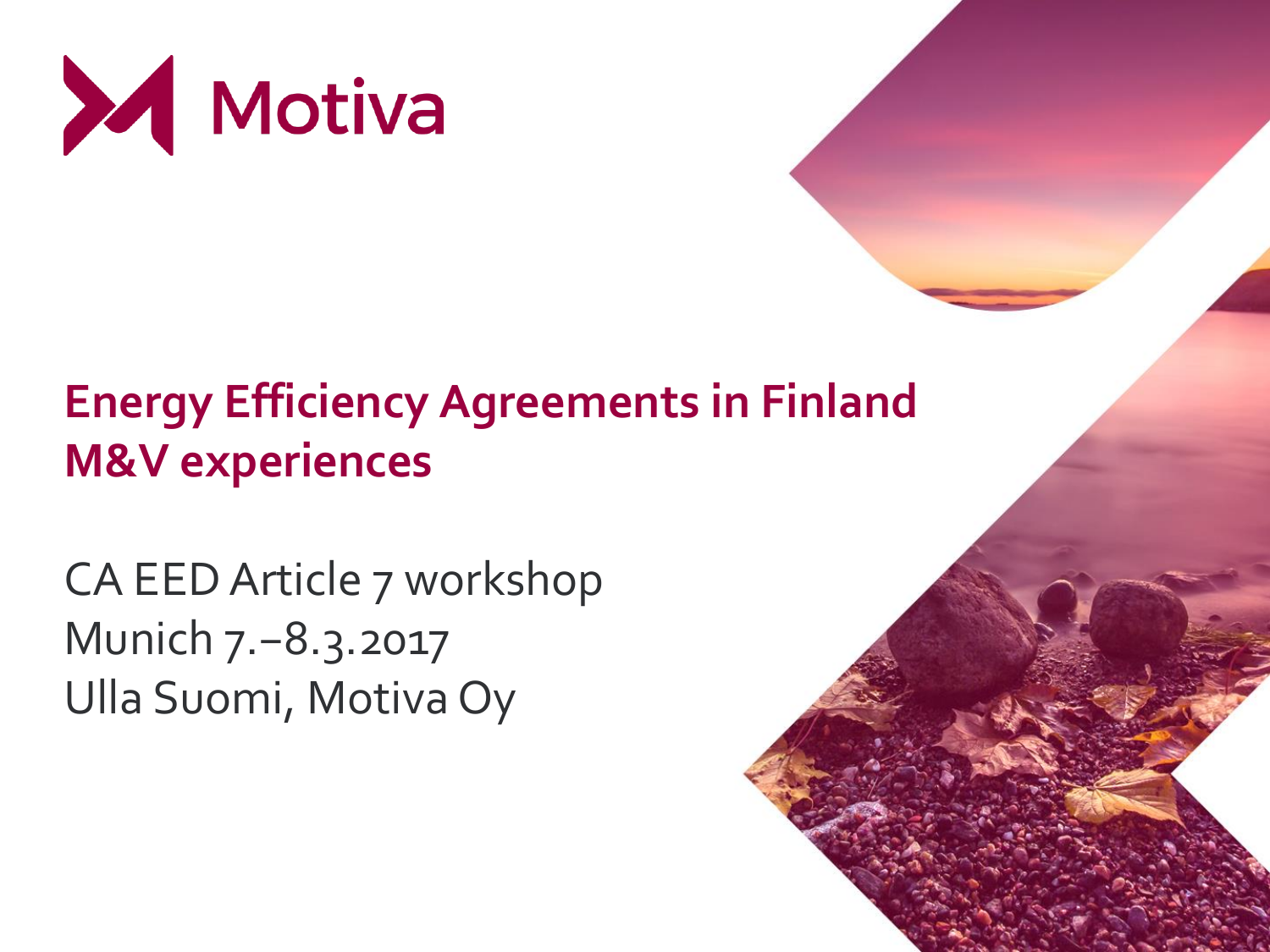

# **Energy Efficiency Agreements in Finland M&V experiences**

CA EED Article 7 workshop Munich 7.−8.3.2017 Ulla Suomi, Motiva Oy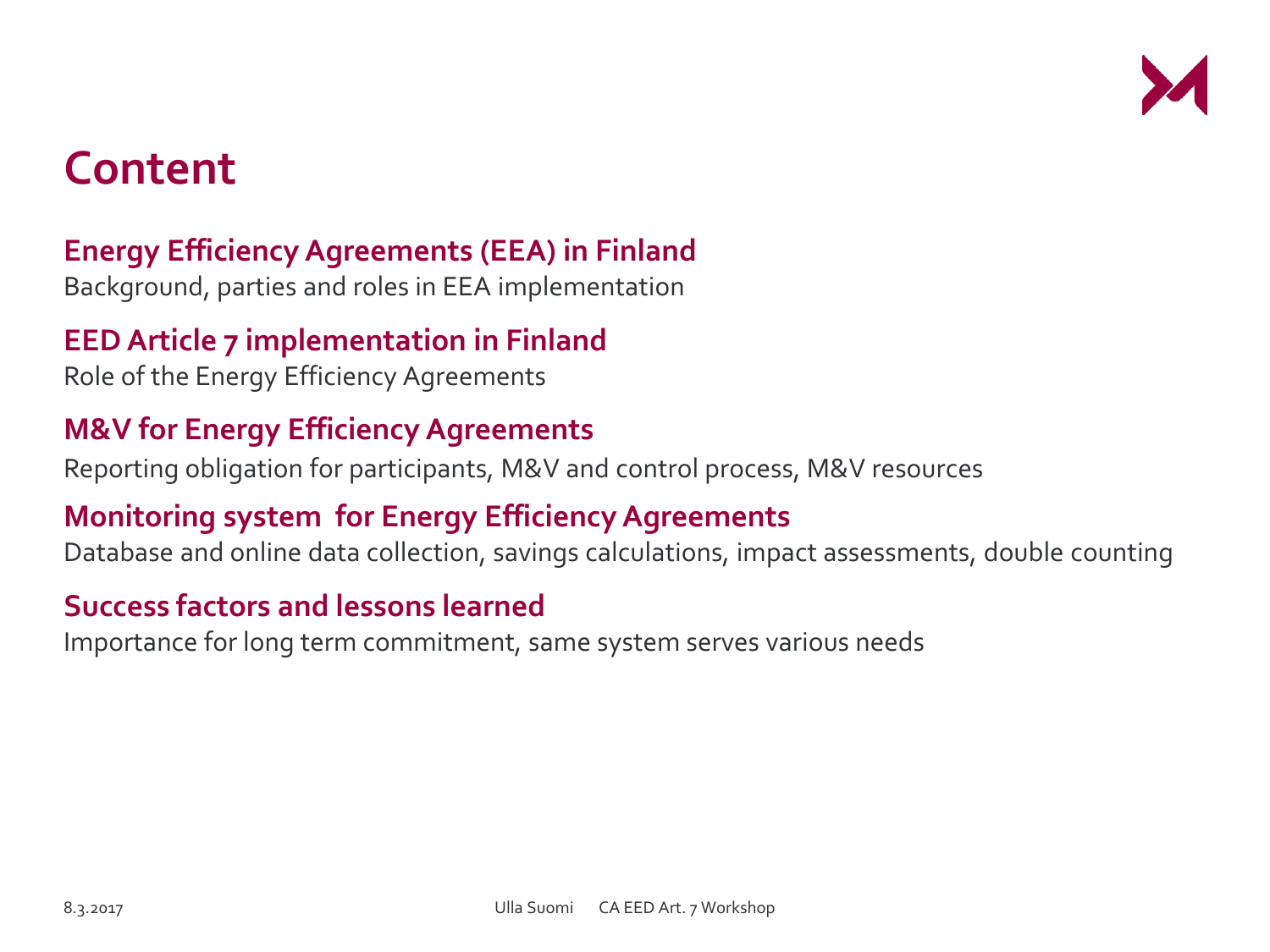

## **Content**

#### **Energy Efficiency Agreements (EEA) in Finland**

Background, parties and roles in EEA implementation

#### **EED Article 7 implementation in Finland**

Role of the Energy Efficiency Agreements

#### **M&V for Energy Efficiency Agreements**

Reporting obligation for participants, M&V and control process, M&V resources

#### **Monitoring system for Energy Efficiency Agreements**

Database and online data collection, savings calculations, impact assessments, double counting

#### **Success factors and lessons learned**

Importance for long term commitment, same system serves various needs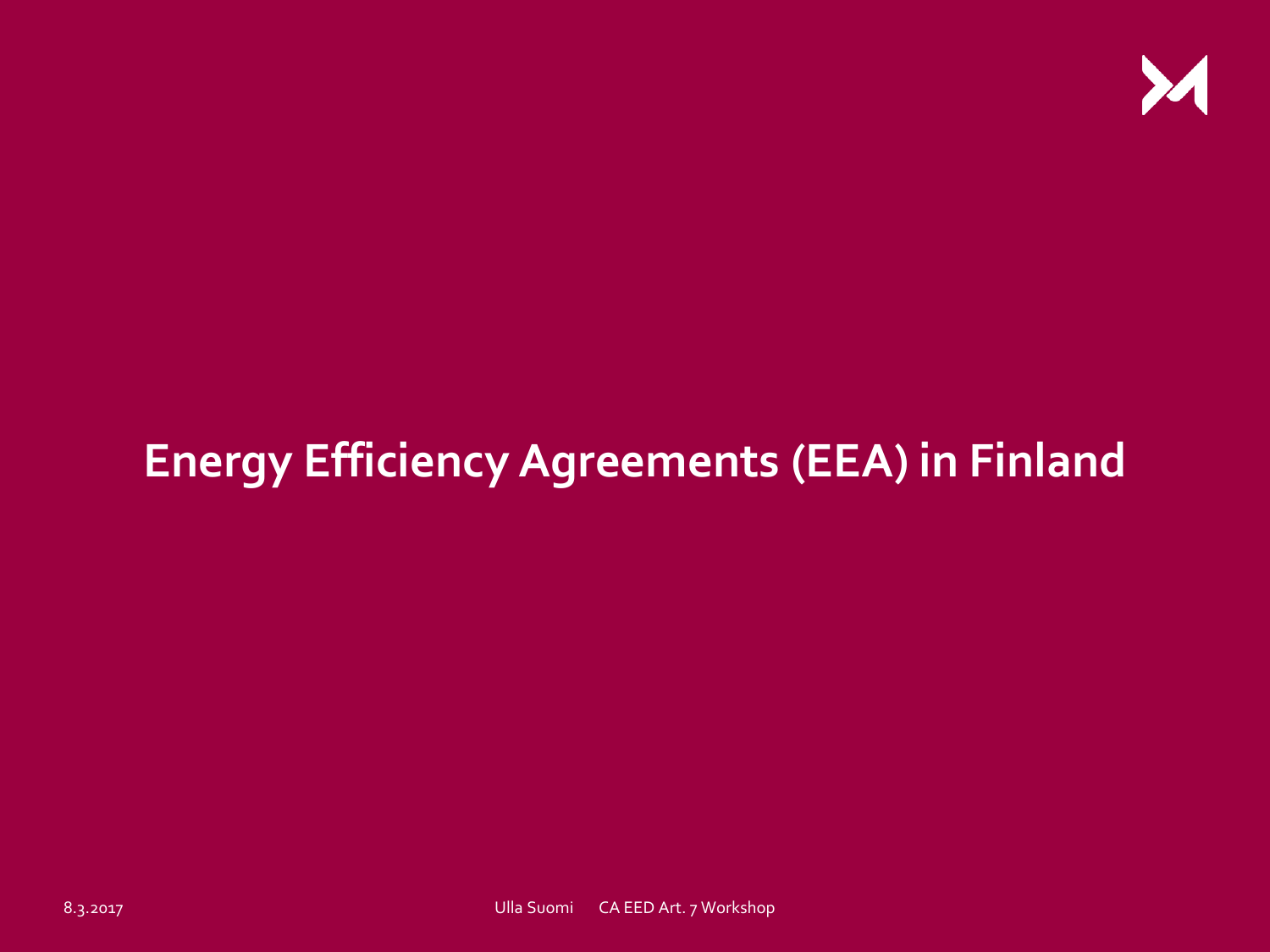

# **Energy Efficiency Agreements (EEA) in Finland**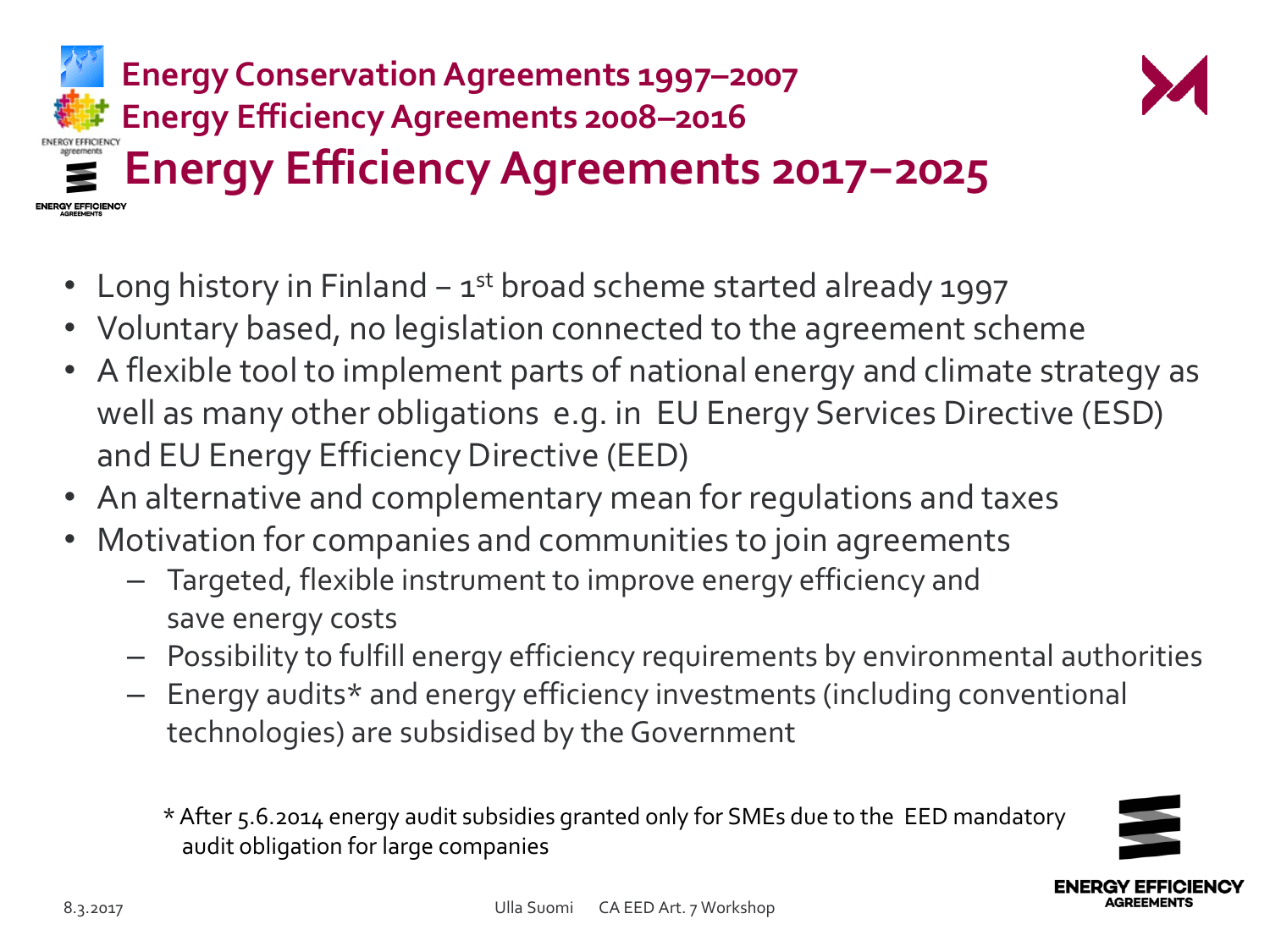



- Voluntary based, no legislation connected to the agreement scheme
- A flexible tool to implement parts of national energy and climate strategy as well as many other obligations e.g. in EU Energy Services Directive (ESD) and EU Energy Efficiency Directive (EED)
- An alternative and complementary mean for regulations and taxes
- Motivation for companies and communities to join agreements
	- Targeted, flexible instrument to improve energy efficiency and save energy costs
	- Possibility to fulfill energy efficiency requirements by environmental authorities
	- Energy audits\* and energy efficiency investments (including conventional technologies) are subsidised by the Government

\* After 5.6.2014 energy audit subsidies granted only for SMEs due to the EED mandatory audit obligation for large companies

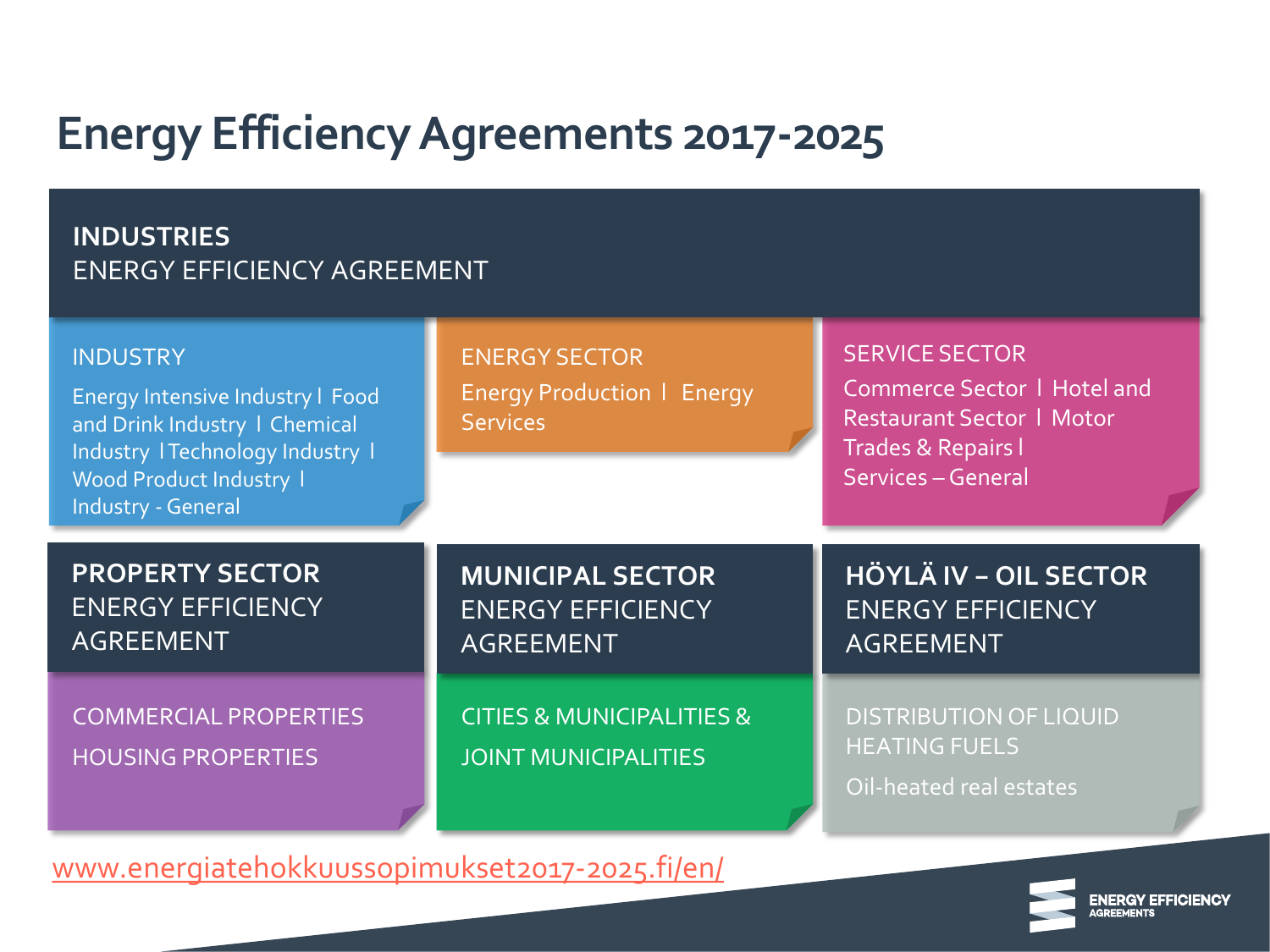#### **INDUSTRIES** ENERGY EFFICIENCY AGREEMENT

| <b>INDUSTRY</b><br>Energy Intensive Industry   Food<br>and Drink Industry   Chemical<br>Industry   Technology Industry  <br>Wood Product Industry 1<br>Industry - General | <b>ENERGY SECTOR</b><br><b>Energy Production   Energy</b><br><b>Services</b> | <b>SERVICE SECTOR</b><br><b>Commerce Sector   Hotel and</b><br><b>Restaurant Sector   Motor</b><br><b>Trades &amp; Repairs I</b><br>Services - General |  |  |
|---------------------------------------------------------------------------------------------------------------------------------------------------------------------------|------------------------------------------------------------------------------|--------------------------------------------------------------------------------------------------------------------------------------------------------|--|--|
| <b>PROPERTY SECTOR</b><br><b>ENERGY EFFICIENCY</b><br><b>AGREEMENT</b>                                                                                                    | <b>MUNICIPAL SECTOR</b><br><b>ENERGY EFFICIENCY</b><br><b>AGREEMENT</b>      | <b>HÖYLÄ IV - OIL SECTOR</b><br><b>ENERGY EFFICIENCY</b><br><b>AGREEMENT</b>                                                                           |  |  |
| <b>COMMERCIAL PROPERTIES</b><br><b>HOUSING PROPERTIES</b>                                                                                                                 | <b>CITIES &amp; MUNICIPALITIES &amp;</b><br><b>JOINT MUNICIPALITIES</b>      | <b>DISTRIBUTION OF LIQUID</b><br><b>HEATING FUELS</b><br>Oil-heated real estates                                                                       |  |  |

[www.energiatehokkuussopimukset2017-2025.fi/en/](http://www.energiatehokkuussopimukset2017-2025.fi/en/)

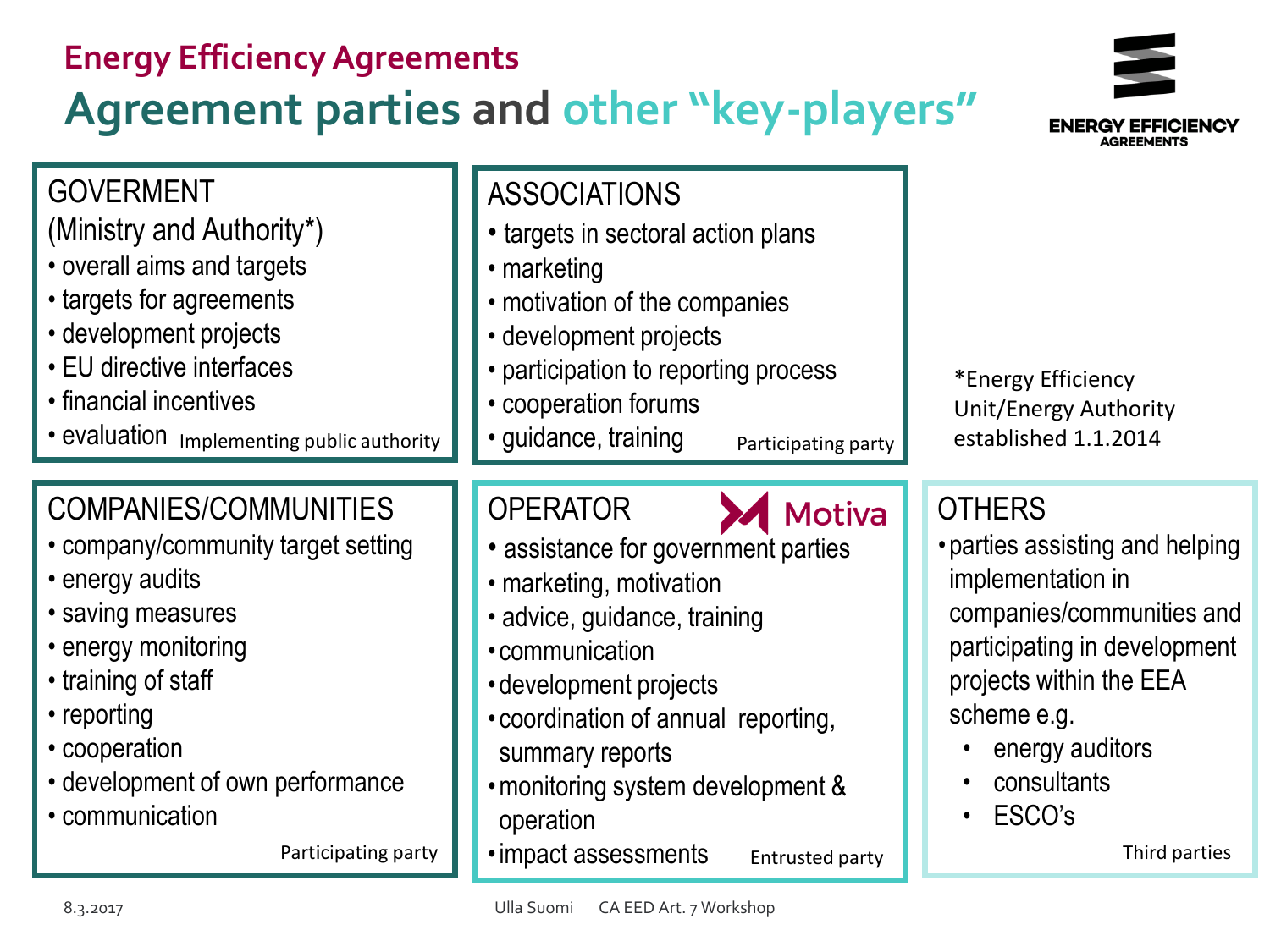| <b>Energy Efficiency Agreements</b>                                                                                                                                                                                                                                    | <b>Agreement parties and other "key-players"</b>                                                                                                                                                                                                                                                                                              |                                                                                                                                                                                                                                           |
|------------------------------------------------------------------------------------------------------------------------------------------------------------------------------------------------------------------------------------------------------------------------|-----------------------------------------------------------------------------------------------------------------------------------------------------------------------------------------------------------------------------------------------------------------------------------------------------------------------------------------------|-------------------------------------------------------------------------------------------------------------------------------------------------------------------------------------------------------------------------------------------|
| <b>GOVERMENT</b><br>(Ministry and Authority*)<br>• overall aims and targets<br>• targets for agreements<br>• development projects<br>• EU directive interfaces<br>• financial incentives<br>· evaluation Implementing public authority                                 | <b>ASSOCIATIONS</b><br>• targets in sectoral action plans<br>• marketing<br>• motivation of the companies<br>• development projects<br>• participation to reporting process<br>• cooperation forums<br>· guidance, training<br>Participating party                                                                                            | *Energy Efficiency<br>Unit/Energy Authority<br>established 1.1.2014                                                                                                                                                                       |
| <b>COMPANIES/COMMUNITIES</b><br>• company/community target setting<br>• energy audits<br>• saving measures<br>• energy monitoring<br>• training of staff<br>• reporting<br>• cooperation<br>• development of own performance<br>• communication<br>Participating party | <b>OPERATOR</b><br><b>Motiva</b><br>• assistance for government parties<br>· marketing, motivation<br>· advice, guidance, training<br>• communication<br>• development projects<br>• coordination of annual reporting,<br>summary reports<br>• monitoring system development &<br>operation<br>· impact assessments<br><b>Entrusted party</b> | <b>OTHERS</b><br>• parties assisting and helping<br>implementation in<br>companies/communities and<br>participating in development<br>projects within the EEA<br>scheme e.g.<br>energy auditors<br>consultants<br>ESCO's<br>Third parties |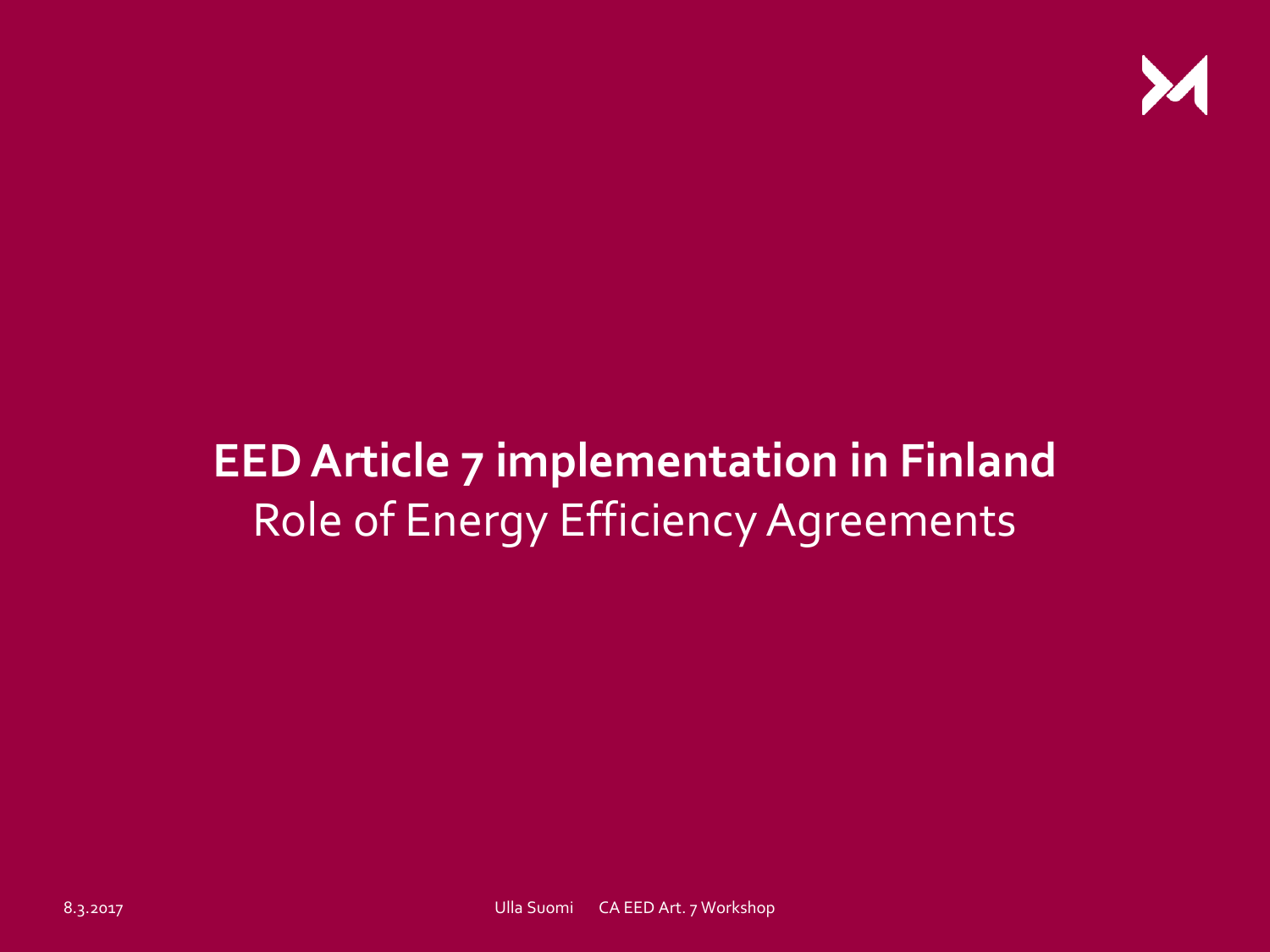

# **EED Article 7 implementation in Finland** Role of Energy Efficiency Agreements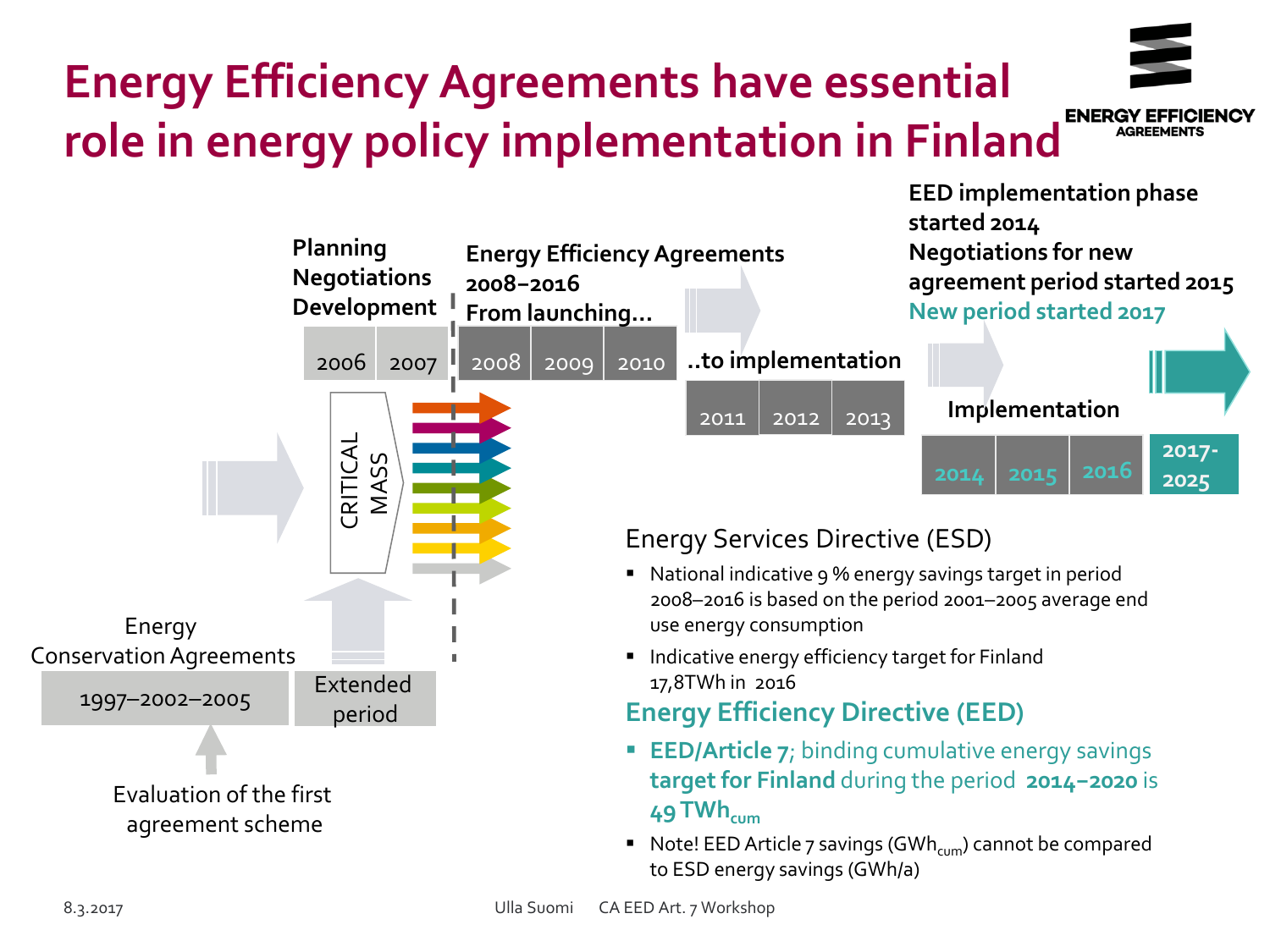# **Energy Efficiency Agreements have essential role in energy policy implementation in Finland**

 $\overline{\phantom{0}}$ 

**From launching…**

**2008−2016** 

**Energy Efficiency Agreements** 



**2014 2015 2016**

**2017- 2025**

#### 2011 2012 2013 2010 2006 2007 2008 2009 1997–2002–2005 **..to implementation** Energy Conservation Agreements Extended **CRITICAL**<br>MASS<br>REFORMASS<br>Period Evaluation of the first agreement scheme use energy consumption 17,8TWh in 2016 **49 TWhcum**

**Planning**

**Negotiations Development**

#### Energy Services Directive (ESD)

- National indicative 9 % energy savings target in period 2008–2016 is based on the period 2001–2005 average end
- **Indicative energy efficiency target for Finland**

#### **Energy Efficiency Directive (EED)**

- **EED/Article 7;** binding cumulative energy savings **target for Finland** during the period **2014−2020** is
- Note! EED Article 7 savings (GWh<sub>cum</sub>) cannot be compared to ESD energy savings (GWh/a)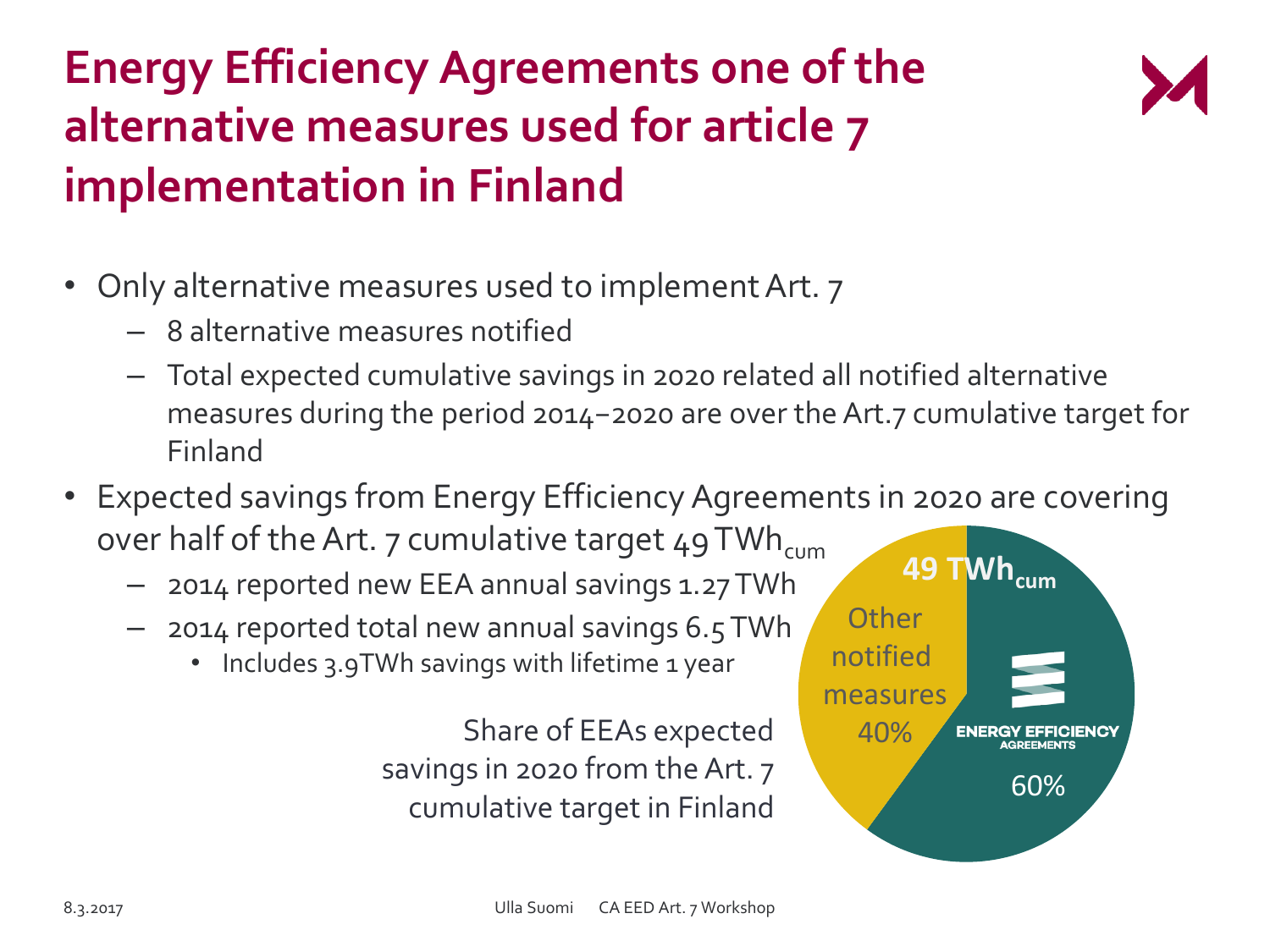# **Energy Efficiency Agreements one of the alternative measures used for article 7 implementation in Finland**



- Only alternative measures used to implement Art. 7
	- 8 alternative measures notified
	- Total expected cumulative savings in 2020 related all notified alternative measures during the period 2014−2020 are over the Art.7 cumulative target for Finland
- Expected savings from Energy Efficiency Agreements in 2020 are covering over half of the Art.  $7$  cumulative target  $49$  TWh<sub>cum</sub>
	- 2014 reported new EEA annual savings 1.27 TWh
	- 2014 reported total new annual savings 6.5 TWh
		- Includes 3.9TWh savings with lifetime 1 year

Share of EEAs expected savings in 2020 from the Art. 7 cumulative target in Finland

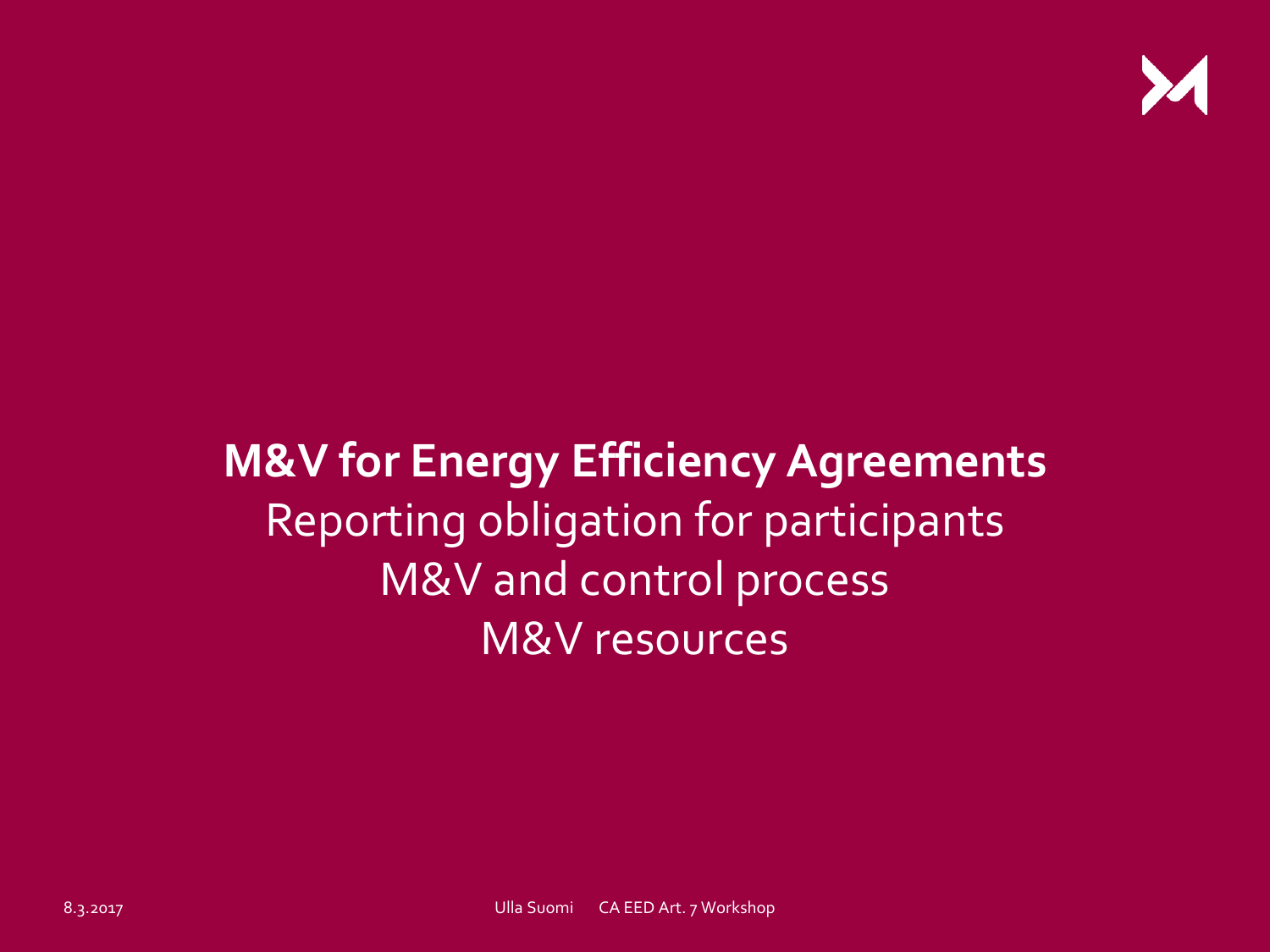

# **M&V for Energy Efficiency Agreements**  Reporting obligation for participants M&V and control process M&V resources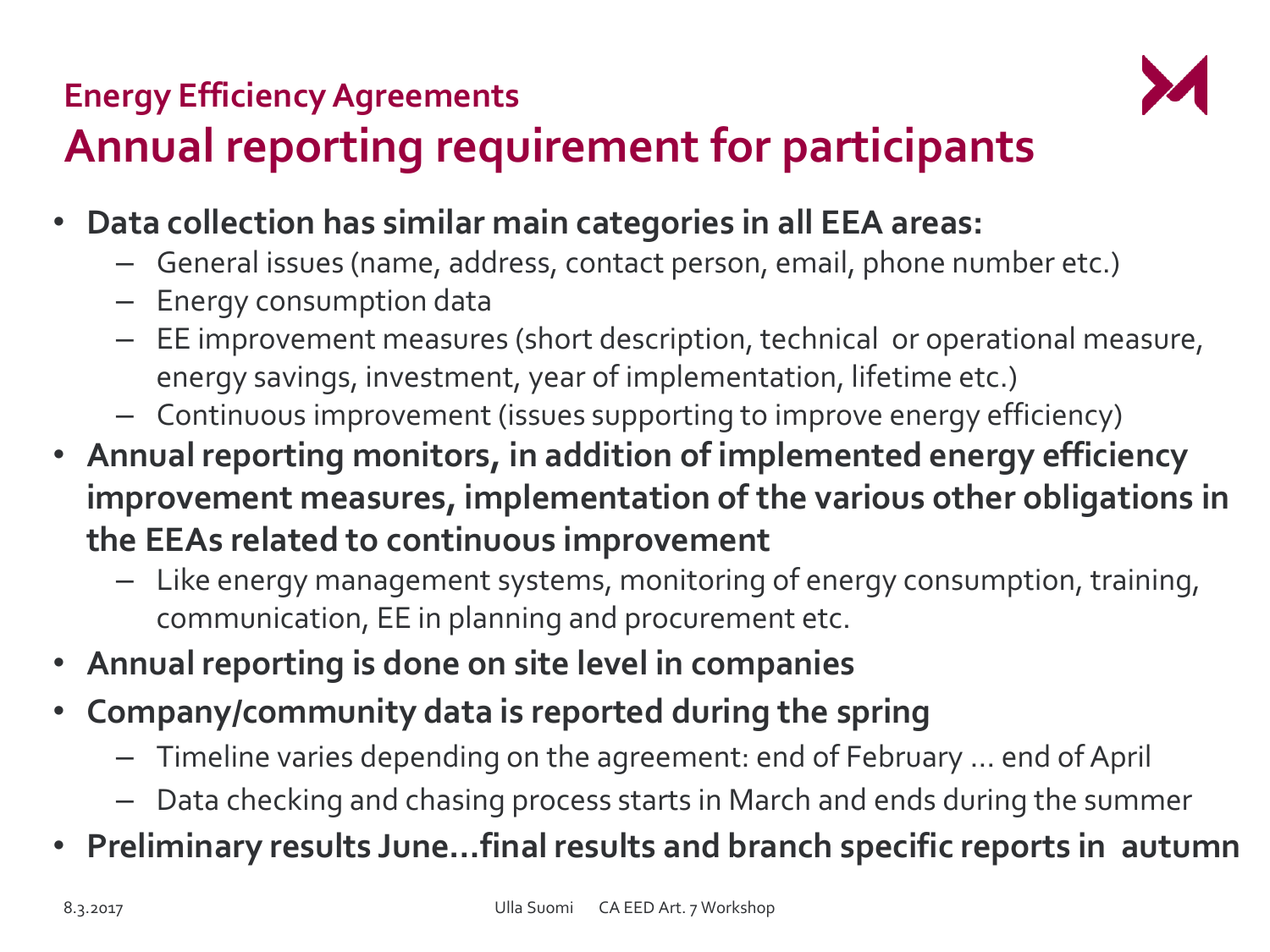### **Energy Efficiency Agreements Annual reporting requirement for participants**



- **Data collection has similar main categories in all EEA areas:**
	- General issues (name, address, contact person, email, phone number etc.)
	- Energy consumption data
	- EE improvement measures (short description, technical or operational measure, energy savings, investment, year of implementation, lifetime etc.)
	- Continuous improvement (issues supporting to improve energy efficiency)
- **Annual reporting monitors, in addition of implemented energy efficiency improvement measures, implementation of the various other obligations in the EEAs related to continuous improvement**
	- Like energy management systems, monitoring of energy consumption, training, communication, EE in planning and procurement etc.
- **Annual reporting is done on site level in companies**
- **Company/community data is reported during the spring**
	- Timeline varies depending on the agreement: end of February … end of April
	- Data checking and chasing process starts in March and ends during the summer
- **Preliminary results June…final results and branch specific reports in autumn**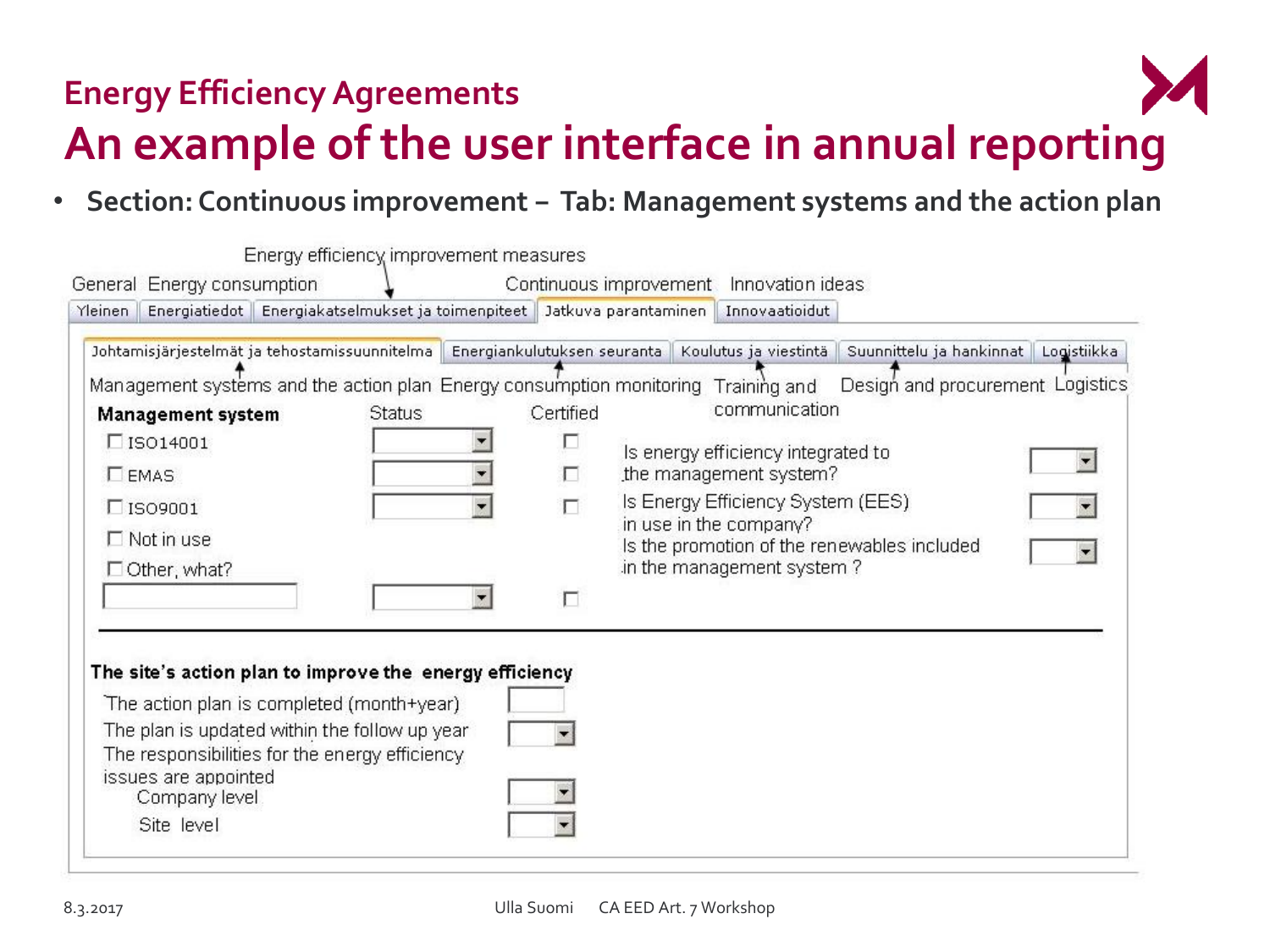

#### **Energy Efficiency Agreements An example of the user interface in annual reporting**

• **Section: Continuous improvement − Tab: Management systems and the action plan**

|                                                     | General Energy consumption                                                                                              | Energy efficiency improvement measures |                                                                                                                                                |                                                                                             |                |  | Continuous improvement Innovation ideas                                                         |                                                                          |  |
|-----------------------------------------------------|-------------------------------------------------------------------------------------------------------------------------|----------------------------------------|------------------------------------------------------------------------------------------------------------------------------------------------|---------------------------------------------------------------------------------------------|----------------|--|-------------------------------------------------------------------------------------------------|--------------------------------------------------------------------------|--|
| Yleinen                                             |                                                                                                                         |                                        |                                                                                                                                                | Energiatiedot   Energiakatselmukset ja toimenpiteet   Jatkuva parantaminen   Innovaatioidut |                |  |                                                                                                 |                                                                          |  |
|                                                     | Management systems and the action plan Energy consumption monitoring Training and                                       |                                        |                                                                                                                                                |                                                                                             |                |  | Johtamisjärjestelmät ja tehostamissuunnitelma Energiankulutuksen seuranta Koulutus ja viestintä | Suunnittelu ja hankinnat Logistiikka<br>Design and procurement Logistics |  |
|                                                     | Management system<br>$\square$ ISO14001                                                                                 |                                        | <b>Status</b>                                                                                                                                  |                                                                                             | Certified<br>П |  | communication<br>Is energy efficiency integrated to                                             |                                                                          |  |
| <b>LEMAS</b><br>$\Box$ ISO9001<br>$\Box$ Not in use |                                                                                                                         |                                        | the management system?<br>п<br>Is Energy Efficiency System (EES)<br>П<br>in use in the company?<br>Is the promotion of the renewables included |                                                                                             |                |  |                                                                                                 |                                                                          |  |
|                                                     | $\Box$ Other, what?                                                                                                     |                                        |                                                                                                                                                | ۰                                                                                           |                |  | in the management system?                                                                       |                                                                          |  |
|                                                     | The site's action plan to improve the energy efficiency                                                                 |                                        |                                                                                                                                                |                                                                                             |                |  |                                                                                                 |                                                                          |  |
|                                                     | The action plan is completed (month+year)                                                                               |                                        |                                                                                                                                                |                                                                                             |                |  |                                                                                                 |                                                                          |  |
|                                                     | The plan is updated within the follow up year<br>The responsibilities for the energy efficiency<br>issues are appointed |                                        |                                                                                                                                                |                                                                                             |                |  |                                                                                                 |                                                                          |  |
|                                                     | Company level<br>Site level                                                                                             |                                        |                                                                                                                                                |                                                                                             |                |  |                                                                                                 |                                                                          |  |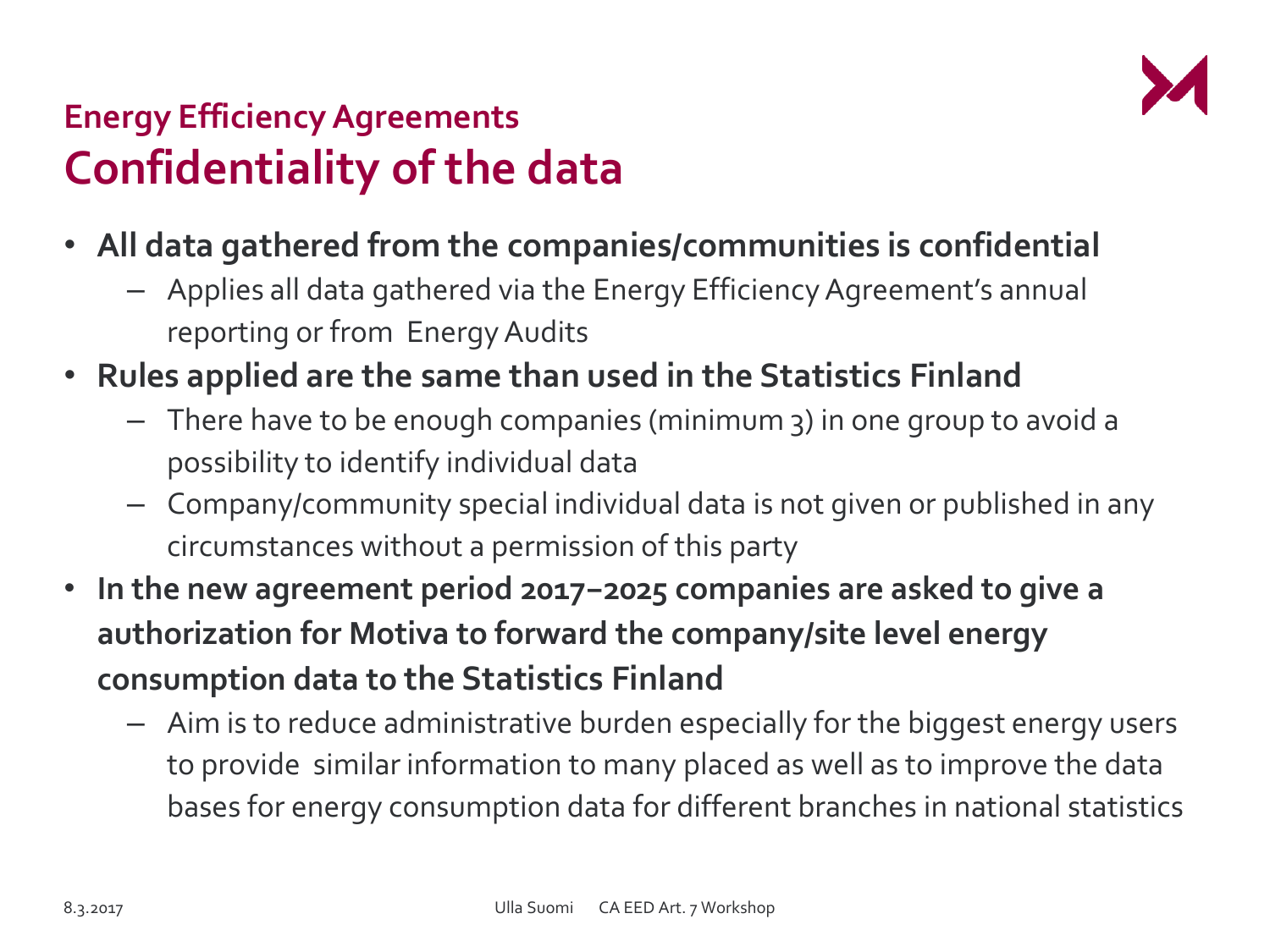

### **Energy Efficiency Agreements Confidentiality of the data**

- **All data gathered from the companies/communities is confidential**
	- Applies all data gathered via the Energy Efficiency Agreement's annual reporting or from Energy Audits
- **Rules applied are the same than used in the Statistics Finland**
	- There have to be enough companies (minimum 3) in one group to avoid a possibility to identify individual data
	- Company/community special individual data is not given or published in any circumstances without a permission of this party
- **In the new agreement period 2017−2025 companies are asked to give a authorization for Motiva to forward the company/site level energy consumption data to the Statistics Finland**
	- Aim is to reduce administrative burden especially for the biggest energy users to provide similar information to many placed as well as to improve the data bases for energy consumption data for different branches in national statistics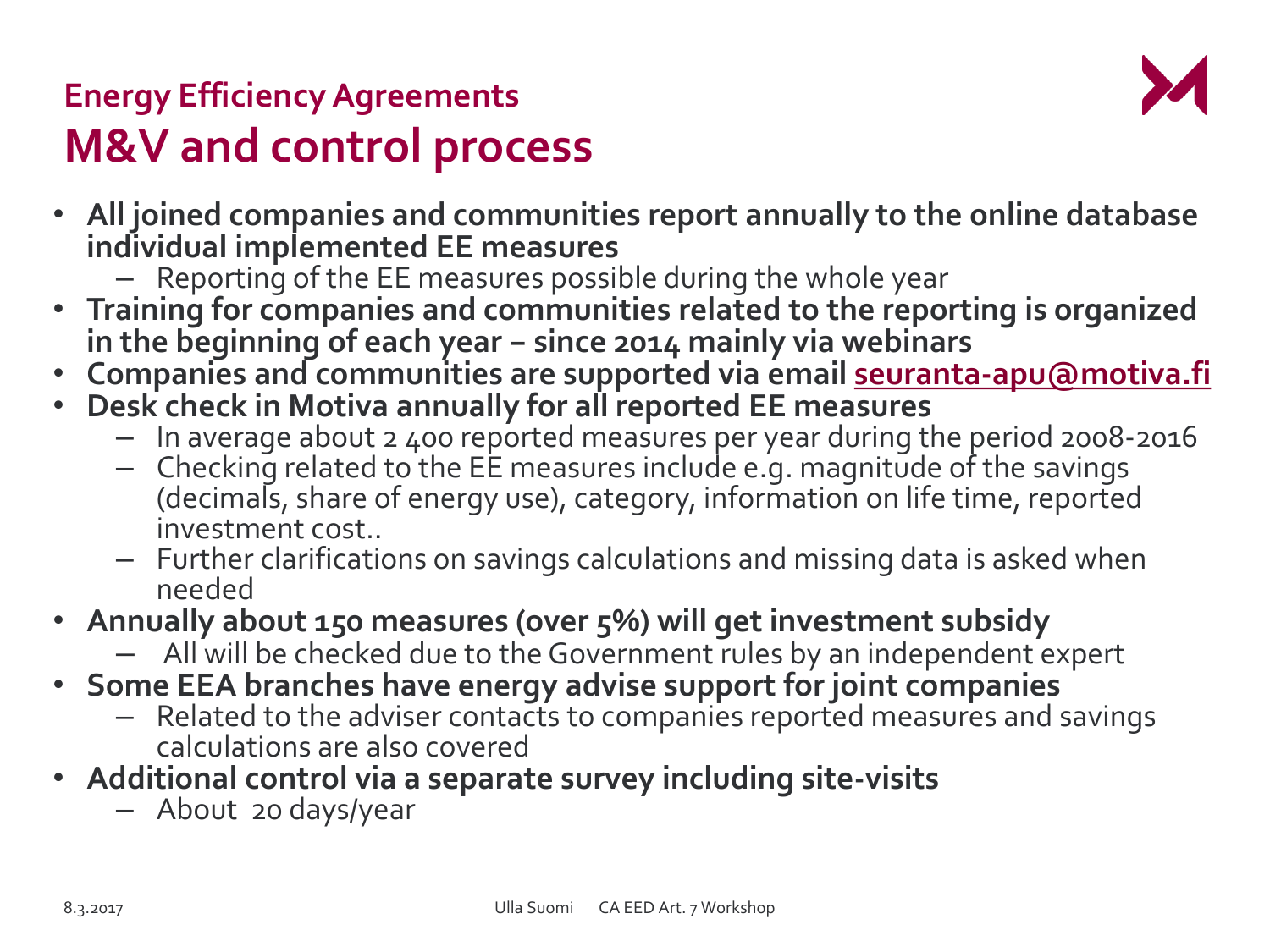

### **Energy Efficiency Agreements M&V and control process**

- **All joined companies and communities report annually to the online database individual implemented EE measures**
	- Reporting of the EE measures possible during the whole year
- **Training for companies and communities related to the reporting is organized in the beginning of each year − since 2014 mainly via webinars**
- **Companies and communities are supported via email [seuranta-apu@motiva.fi](mailto:seuranta-apu@motiva.fi)**
- **Desk check in Motiva annually for all reported EE measures** 
	- In average about 2 400 reported measures per year during the period 2008-2016
	- $-$  Checking related to the EE measures include e.g. magnitude of the savings (decimals, share of energy use), category, information on life time, reported investment cost..
	- Further clarifications on savings calculations and missing data is asked when needed
- **Annually about 150 measures (over 5%) will get investment subsidy**
	- All will be checked due to the Government rules by an independent expert
- **Some EEA branches have energy advise support for joint companies**
	- Related to the adviser contacts to companies reported measures and savings calculations are also covered
- **Additional control via a separate survey including site-visits** 
	- About 20 days/year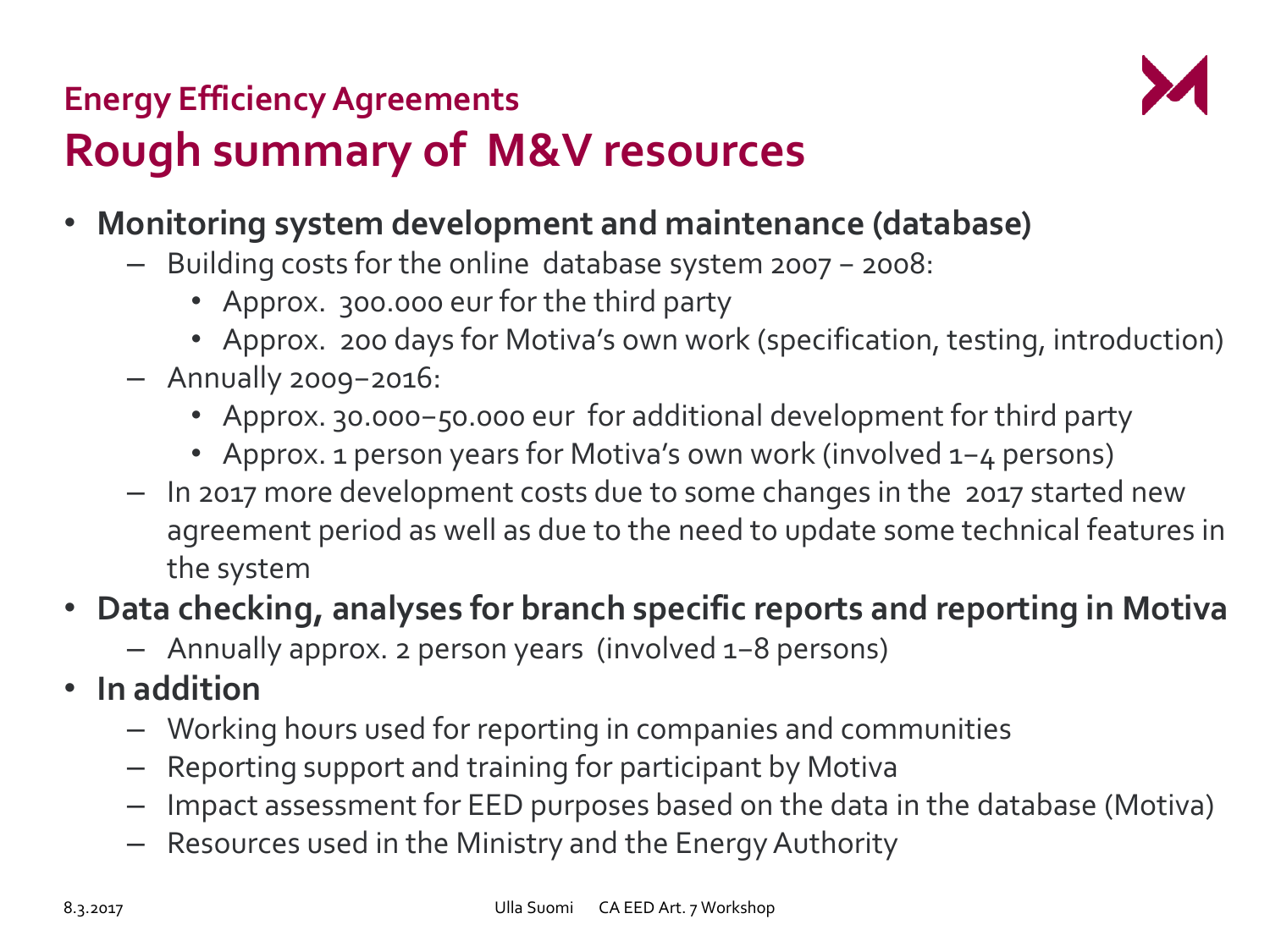

## **Energy Efficiency Agreements Rough summary of M&V resources**

- **Monitoring system development and maintenance (database)**
	- Building costs for the online database system 2007 − 2008:
		- Approx. 300.000 eur for the third party
		- Approx. 200 days for Motiva's own work (specification, testing, introduction)
	- Annually 2009−2016:
		- Approx. 30.000−50.000 eur for additional development for third party
		- Approx. 1 person years for Motiva's own work (involved 1−4 persons)
	- In 2017 more development costs due to some changes in the 2017 started new agreement period as well as due to the need to update some technical features in the system

#### • **Data checking, analyses for branch specific reports and reporting in Motiva**

- Annually approx. 2 person years (involved 1−8 persons)
- **In addition** 
	- Working hours used for reporting in companies and communities
	- Reporting support and training for participant by Motiva
	- Impact assessment for EED purposes based on the data in the database (Motiva)
	- Resources used in the Ministry and the Energy Authority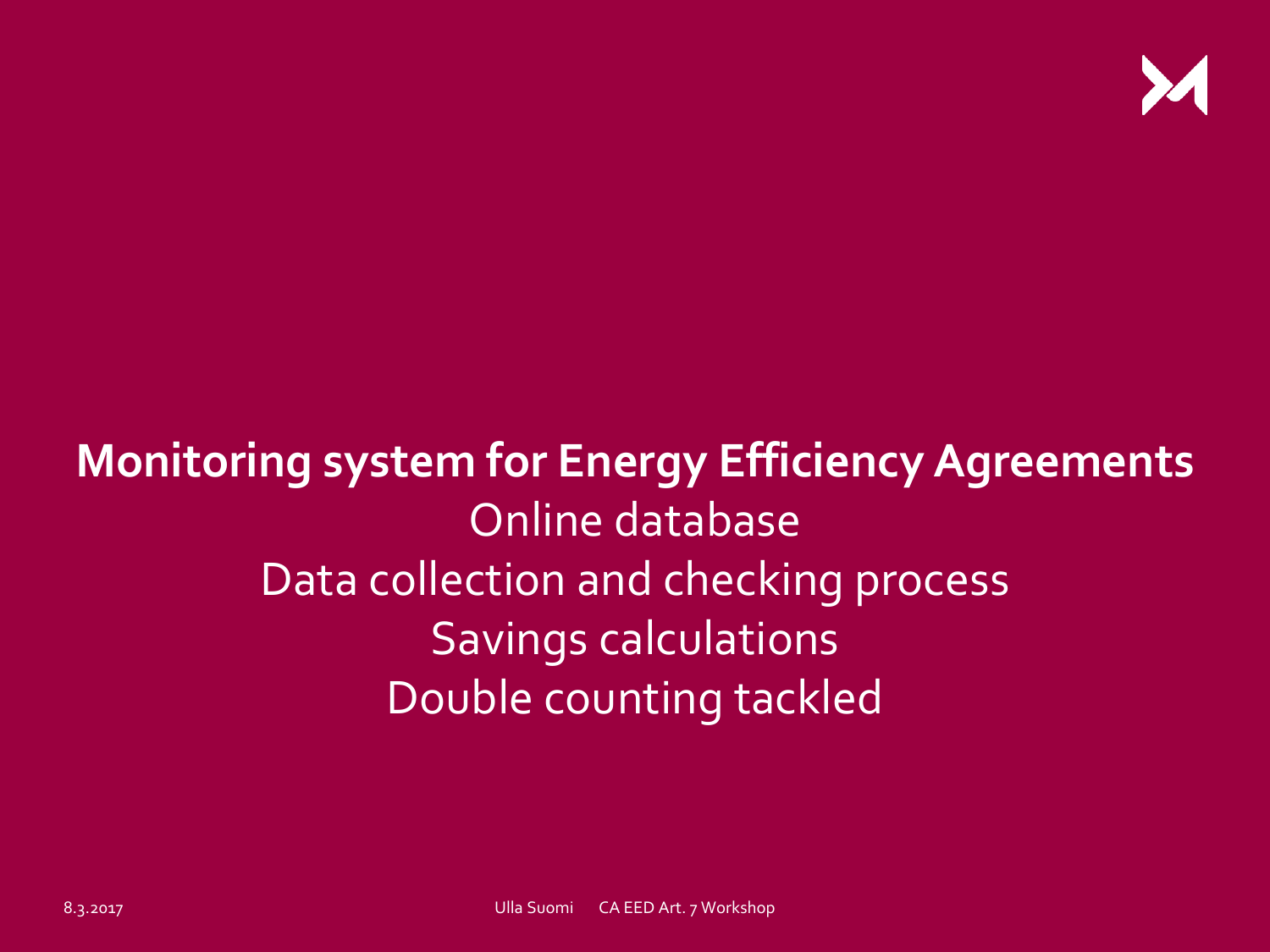

# **Monitoring system for Energy Efficiency Agreements**  Online database Data collection and checking process Savings calculations Double counting tackled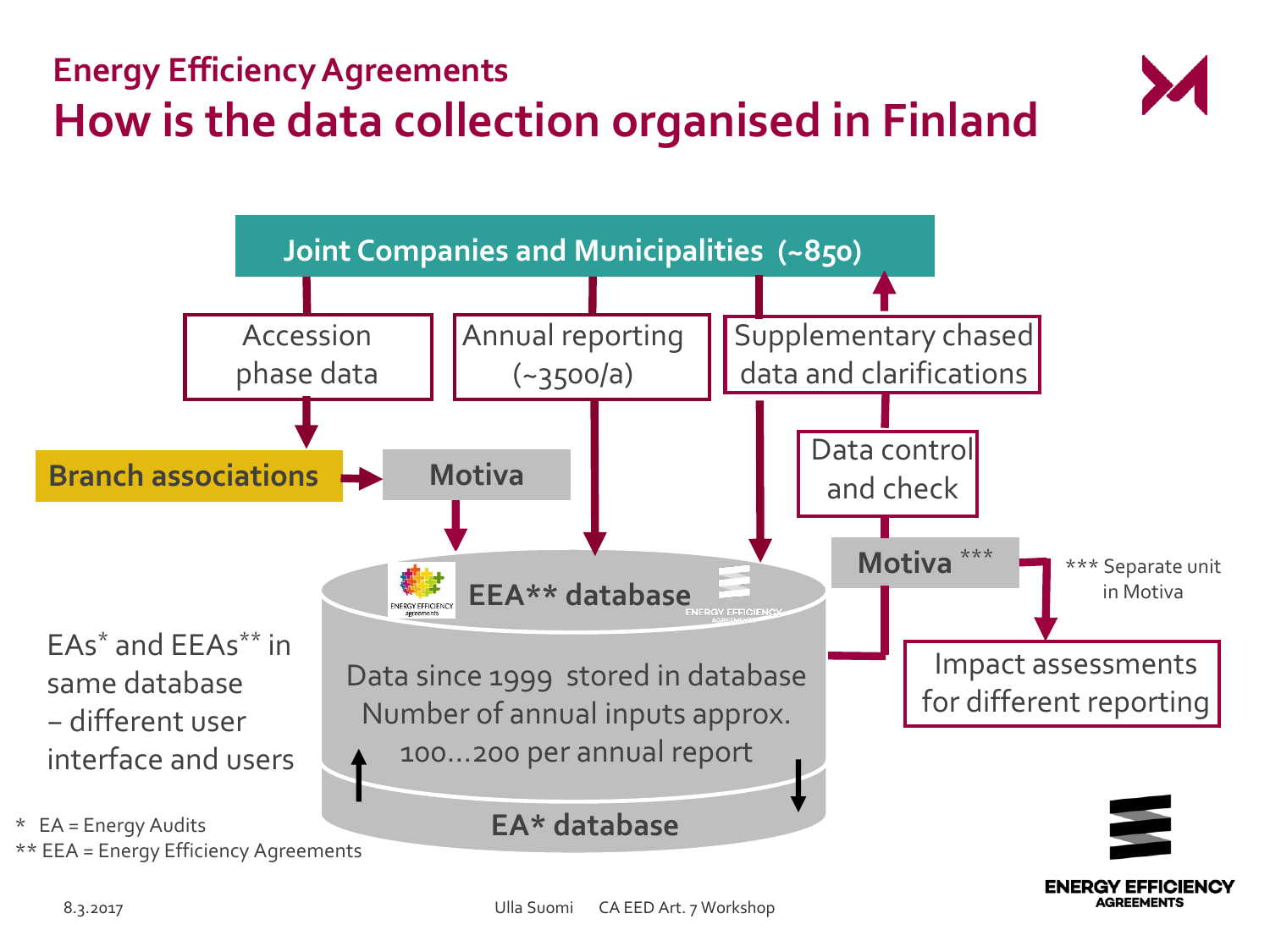



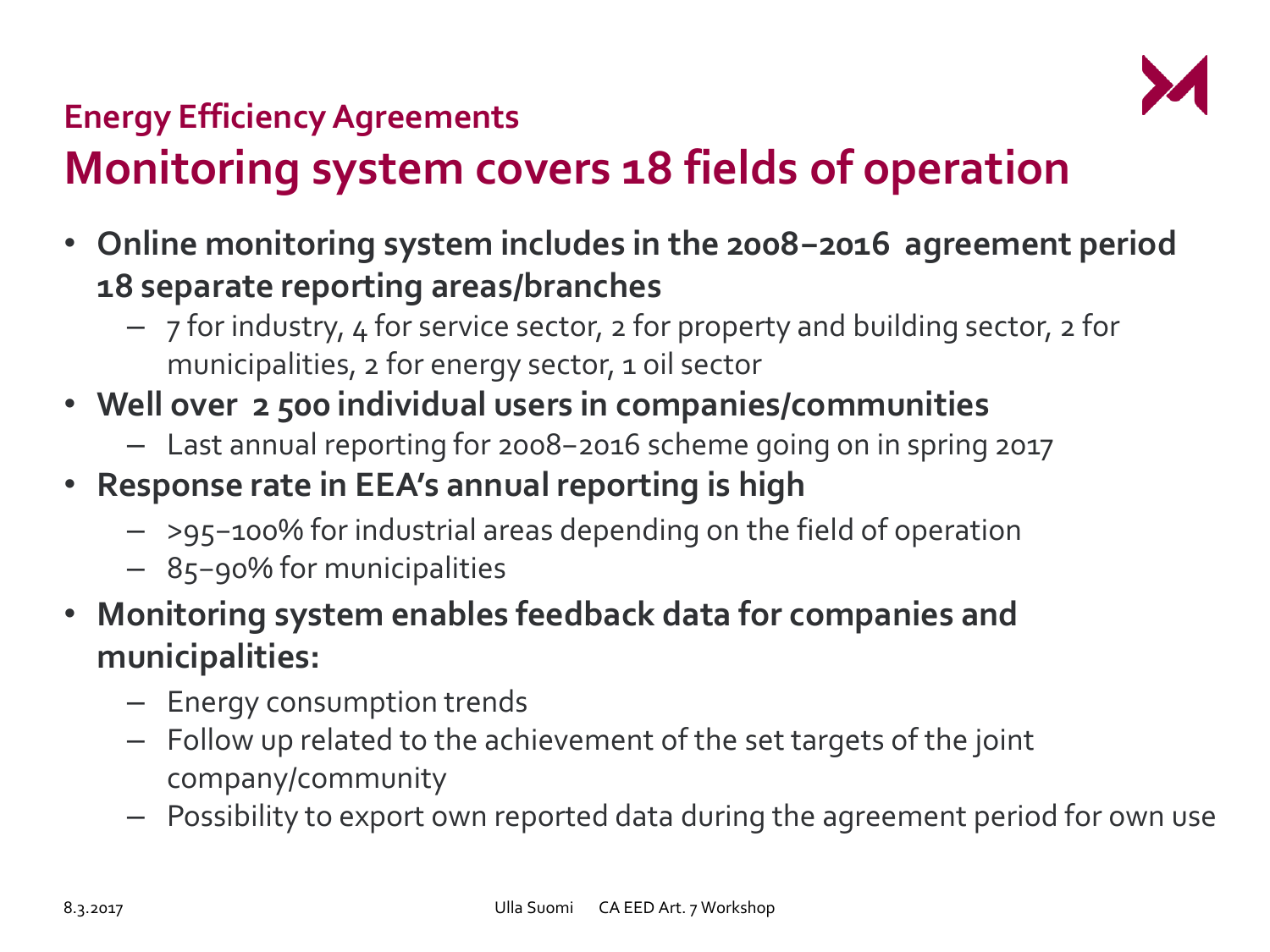

# **Monitoring system covers 18 fields of operation**

- **Online monitoring system includes in the 2008−2016 agreement period 18 separate reporting areas/branches**
	- 7 for industry, 4 for service sector, 2 for property and building sector, 2 for municipalities, 2 for energy sector, 1 oil sector
- **Well over 2 500 individual users in companies/communities**
	- Last annual reporting for 2008−2016 scheme going on in spring 2017
- **Response rate in EEA's annual reporting is high**
	- >95−100% for industrial areas depending on the field of operation
	- 85−90% for municipalities
- **Monitoring system enables feedback data for companies and municipalities:**
	- Energy consumption trends
	- Follow up related to the achievement of the set targets of the joint company/community
	- Possibility to export own reported data during the agreement period for own use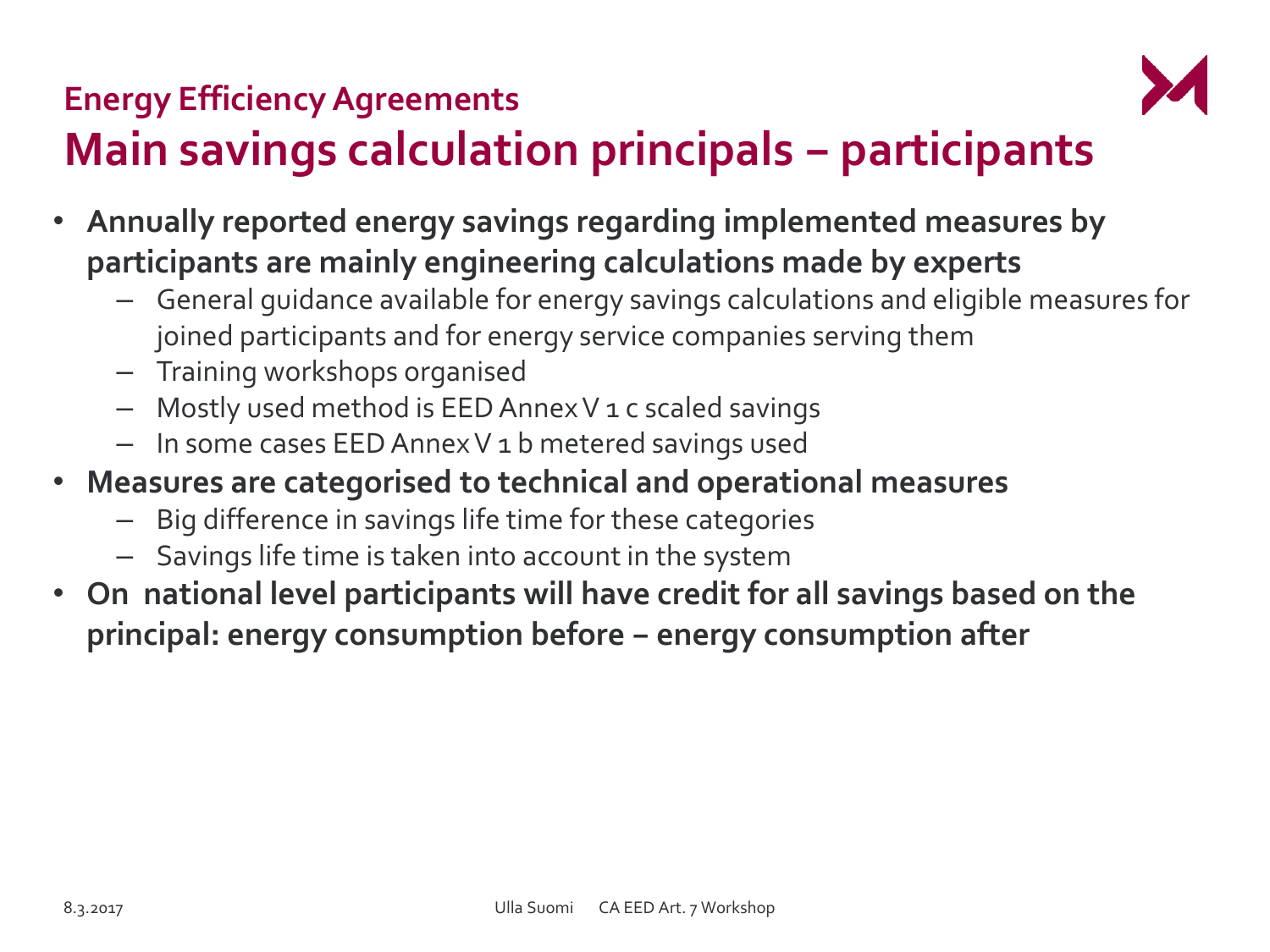

# **Main savings calculation principals − participants**

- **Annually reported energy savings regarding implemented measures by participants are mainly engineering calculations made by experts**
	- General guidance available for energy savings calculations and eligible measures for joined participants and for energy service companies serving them
	- Training workshops organised
	- Mostly used method is EED Annex V 1 c scaled savings
	- In some cases EED Annex V 1 b metered savings used
- **Measures are categorised to technical and operational measures**
	- Big difference in savings life time for these categories
	- Savings life time is taken into account in the system
- **On national level participants will have credit for all savings based on the principal: energy consumption before − energy consumption after**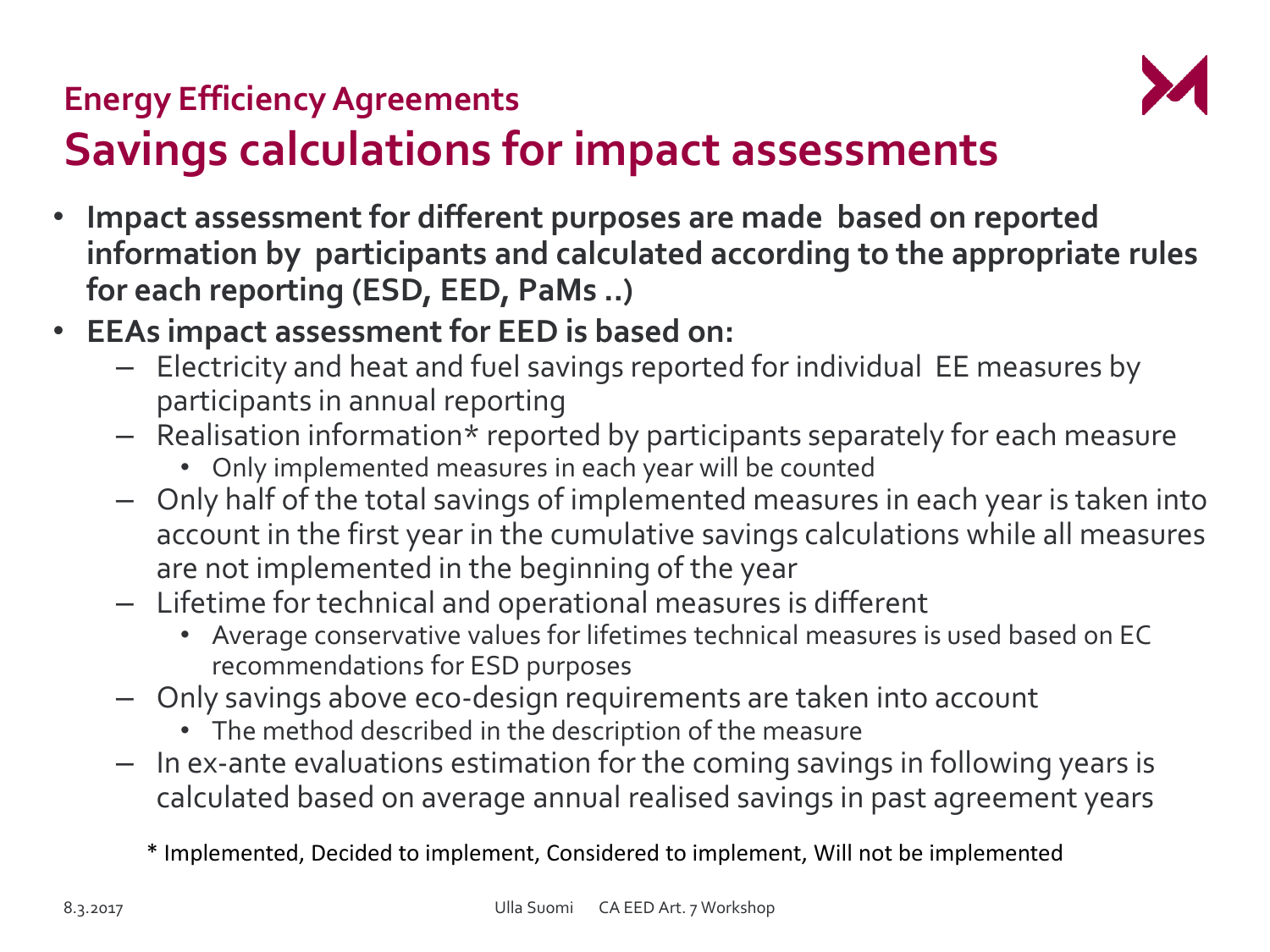

# **Savings calculations for impact assessments**

- **Impact assessment for different purposes are made based on reported information by participants and calculated according to the appropriate rules for each reporting (ESD, EED, PaMs ..)**
- **EEAs impact assessment for EED is based on:**
	- Electricity and heat and fuel savings reported for individual EE measures by participants in annual reporting
	- Realisation information\* reported by participants separately for each measure
		- Only implemented measures in each year will be counted
	- Only half of the total savings of implemented measures in each year is taken into account in the first year in the cumulative savings calculations while all measures are not implemented in the beginning of the year
	- Lifetime for technical and operational measures is different
		- Average conservative values for lifetimes technical measures is used based on EC recommendations for ESD purposes
	- Only savings above eco-design requirements are taken into account
		- The method described in the description of the measure
	- In ex-ante evaluations estimation for the coming savings in following years is calculated based on average annual realised savings in past agreement years

\* Implemented, Decided to implement, Considered to implement, Will not be implemented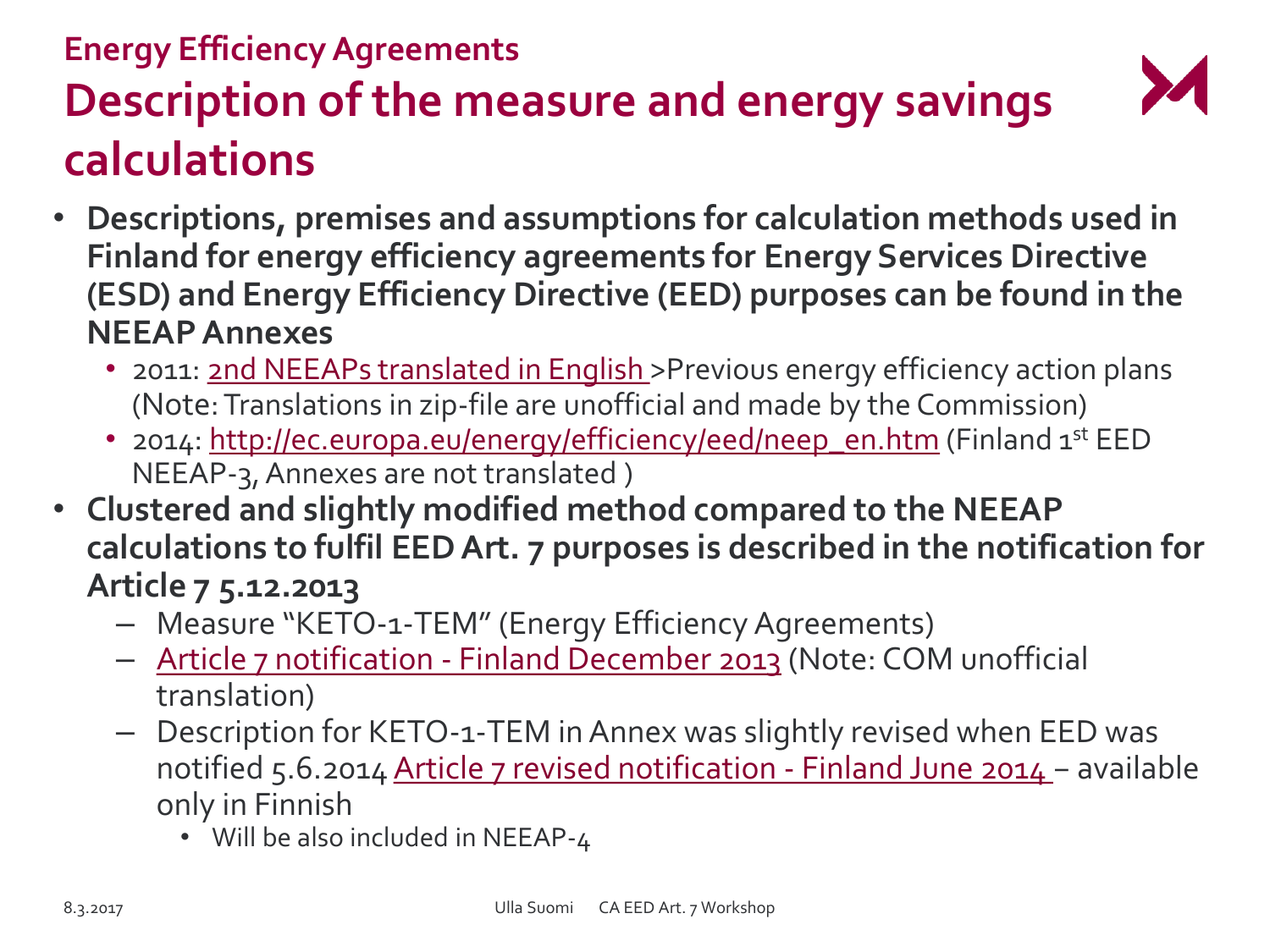## **Energy Efficiency Agreements Description of the measure and energy savings calculations**

- **Descriptions, premises and assumptions for calculation methods used in Finland for energy efficiency agreements for Energy Services Directive (ESD) and Energy Efficiency Directive (EED) purposes can be found in the NEEAP Annexes**
	- 2011: [2nd NEEAPs translated in English](http://ec.europa.eu/energy/en/topics/energy-efficiency/energy-efficiency-directive/national-energy-efficiency-action-plans) > Previous energy efficiency action plans (Note: Translations in zip-file are unofficial and made by the Commission)
	- 2014: [http://ec.europa.eu/energy/efficiency/eed/neep\\_en.htm](http://ec.europa.eu/energy/efficiency/eed/neep_en.htm) (Finland 1st EED NEEAP-3, Annexes are not translated )
- **Clustered and slightly modified method compared to the NEEAP calculations to fulfil EED Art. 7 purposes is described in the notification for Article 7 5.12.2013**
	- Measure "KETO-1-TE[M](http://ec.europa.eu/energy/sites/ener/files/documents/article7_en_finland.pdf)" (En[er](http://ec.europa.eu/energy/sites/ener/files/documents/article7_en_finland.pdf)gy Efficie[nc](http://ec.europa.eu/energy/sites/ener/files/documents/article7_en_finland.pdf)y Agreements)
	- [Article 7 notification -](http://ec.europa.eu/energy/sites/ener/files/documents/article7_en_finland.pdf) [Finland](http://ec.europa.eu/energy/sites/ener/files/documents/article7_en_finland.pdf) [December](http://ec.europa.eu/energy/sites/ener/files/documents/article7_en_finland.pdf) [2013](http://ec.europa.eu/energy/sites/ener/files/documents/article7_en_finland.pdf) (Note: COM unofficial translation)
	- Description for KETO-1-TEM in Annex was slightly revised when EED was notified 5.6.2014 [Article 7 revised notification -](https://ec.europa.eu/energy/sites/ener/files/documents/FI_Updated Art. 7 notification 140605_2.pdf) [Finland June 2014](https://ec.europa.eu/energy/sites/ener/files/documents/FI_Updated Art. 7 notification 140605_2.pdf) − available only in Finnish
		- Will be also included in NEEAP-4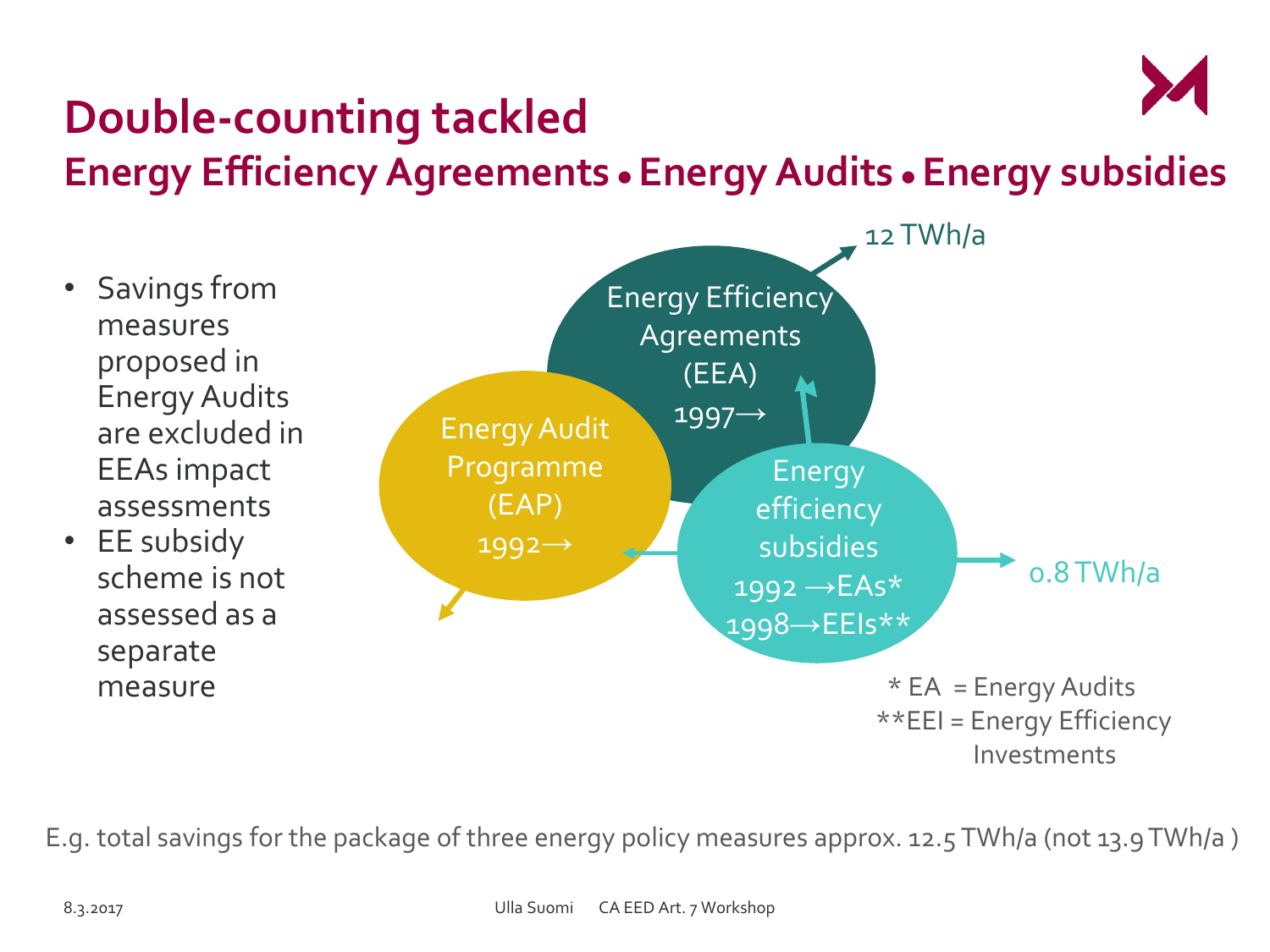

## **Double-counting tackled Energy Efficiency Agreements ● Energy Audits ● Energy subsidies**

- Savings from measures proposed in Energy Audits are excluded in EEAs impact assessments
- EE subsidy scheme is not assessed as a separate measure



E.g. total savings for the package of three energy policy measures approx. 12.5 TWh/a (not 13.9 TWh/a )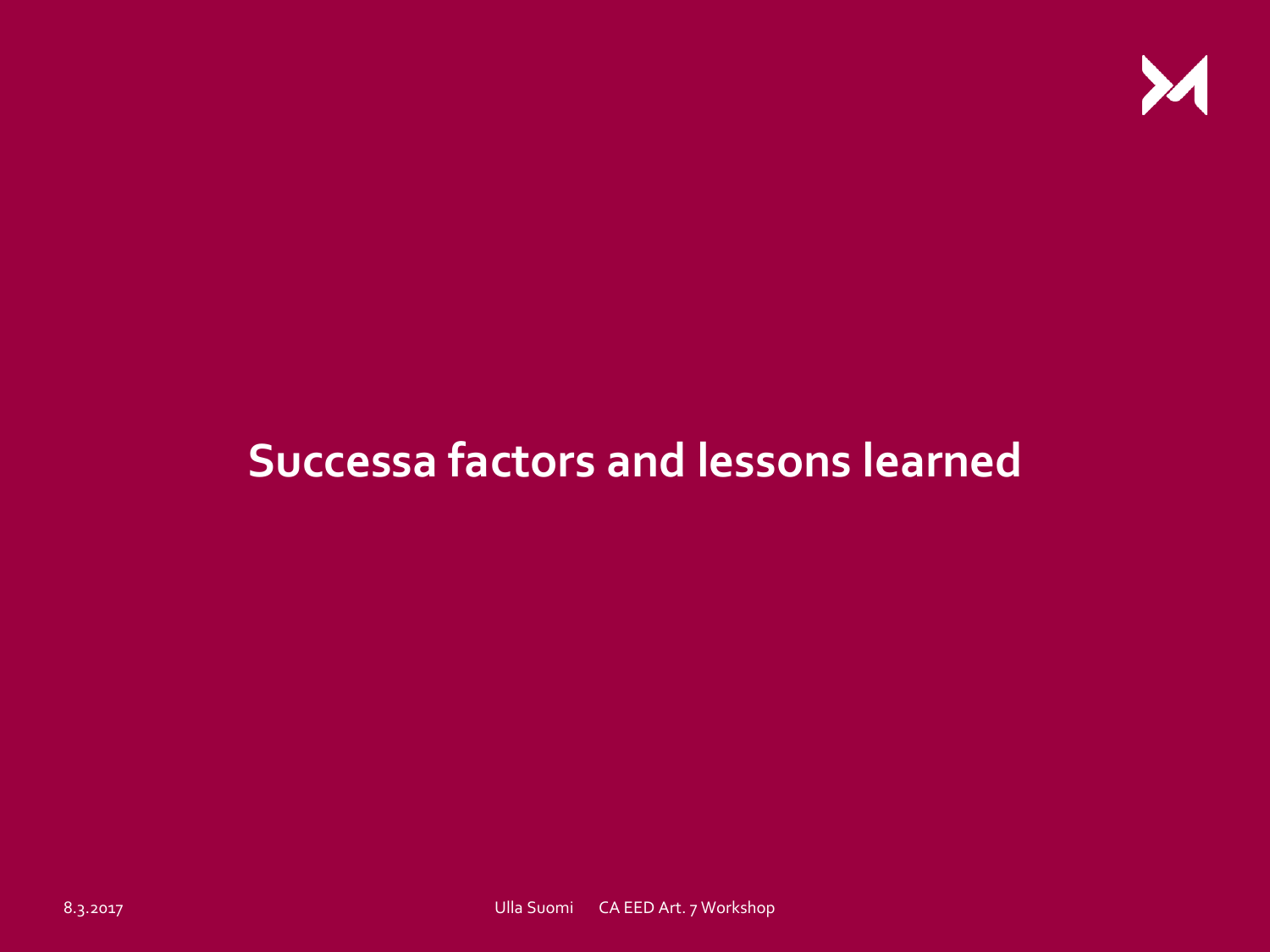

## **Successa factors and lessons learned**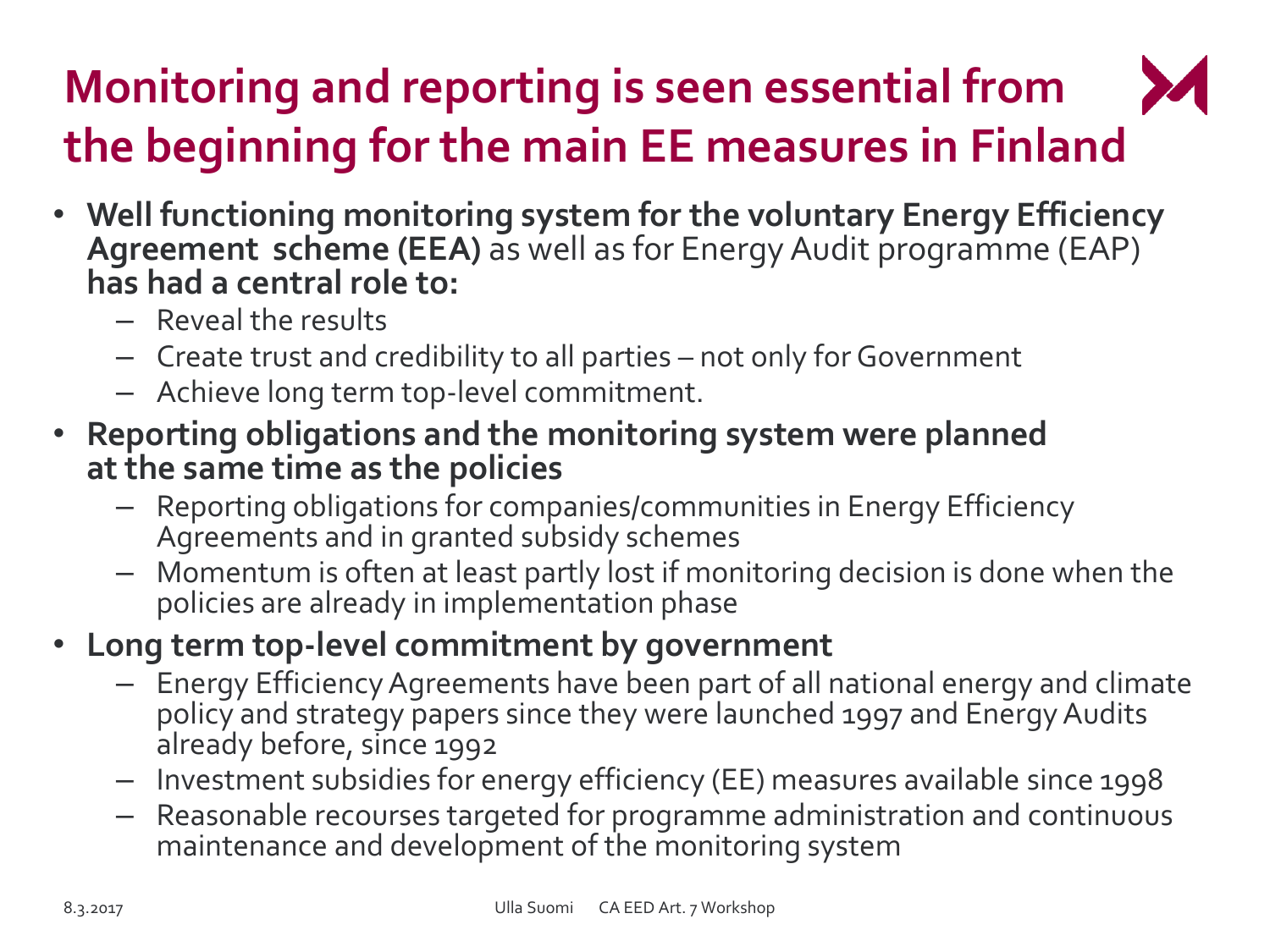# **Monitoring and reporting is seen essential from the beginning for the main EE measures in Finland**

- **Well functioning monitoring system for the voluntary Energy Efficiency Agreement scheme (EEA)** as well as for Energy Audit programme (EAP) **has had a central role to:**
	- Reveal the results
	- Create trust and credibility to all parties not only for Government
	- Achieve long term top-level commitment.
- **Reporting obligations and the monitoring system were planned at the same time as the policies** 
	- Reporting obligations for companies/communities in Energy Efficiency Agreements and in granted subsidy schemes
	- Momentum is often at least partly lost if monitoring decision is done when the policies are already in implementation phase
- **Long term top-level commitment by government**
	- Energy Efficiency Agreements have been part of all national energy and climate policy and strategy papers since they were launched 1997 and Energy Audits already before, since 1992
	- Investment subsidies for energy efficiency (EE) measures available since 1998
	- Reasonable recourses targeted for programme administration and continuous maintenance and development of the monitoring system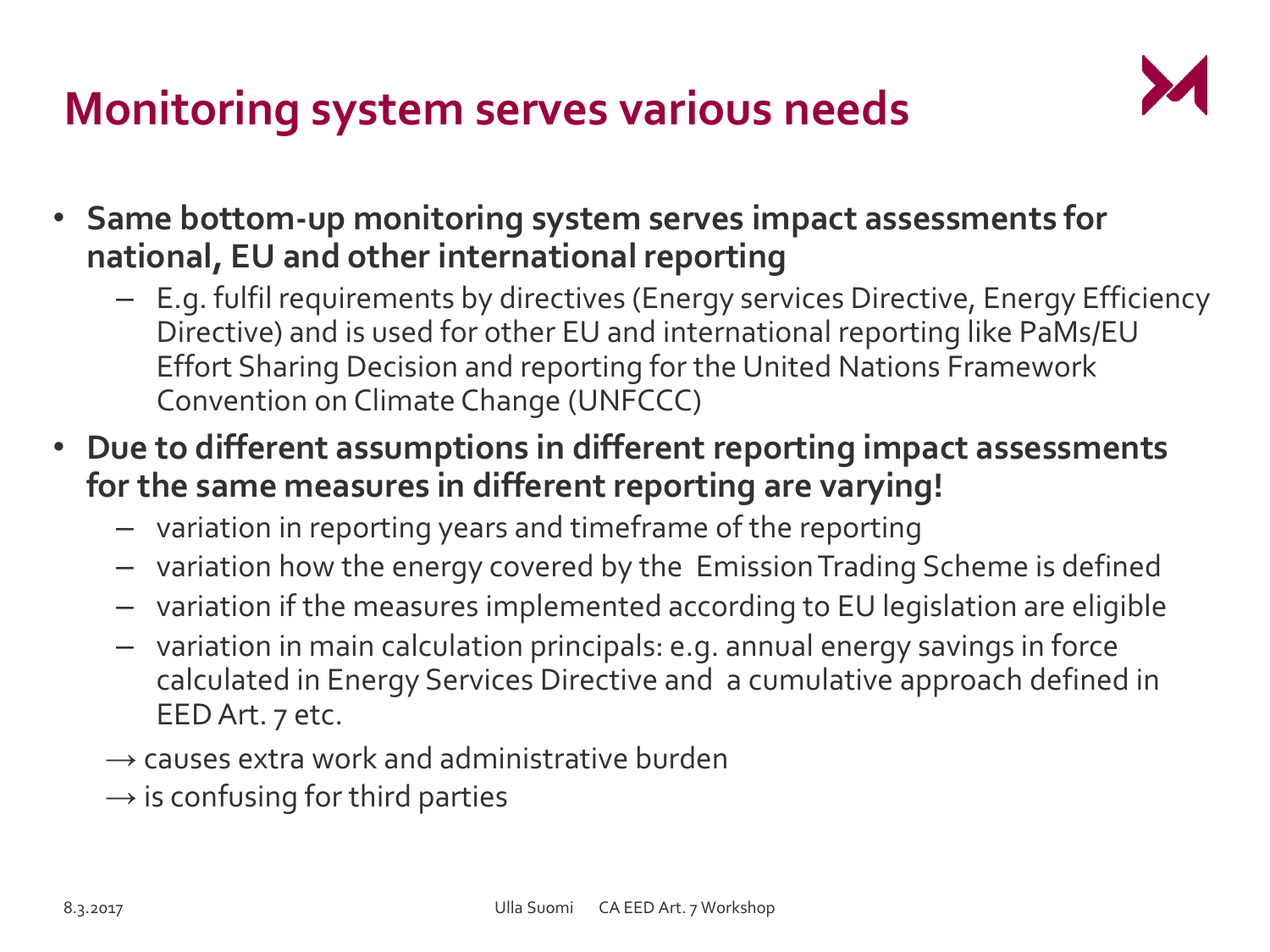## **Monitoring system serves various needs**



- **Same bottom-up monitoring system serves impact assessments for national, EU and other international reporting**
	- E.g. fulfil requirements by directives (Energy services Directive, Energy Efficiency Directive) and is used for other EU and international reporting like PaMs/EU Effort Sharing Decision and reporting for the United Nations Framework Convention on Climate Change (UNFCCC)
- **Due to different assumptions in different reporting impact assessments for the same measures in different reporting are varying!** 
	- variation in reporting years and timeframe of the reporting
	- variation how the energy covered by the Emission Trading Scheme is defined
	- variation if the measures implemented according to EU legislation are eligible
	- variation in main calculation principals: e.g. annual energy savings in force calculated in Energy Services Directive and a cumulative approach defined in EED Art. 7 etc.
	- $\rightarrow$  causes extra work and administrative burden
	- $\rightarrow$  is confusing for third parties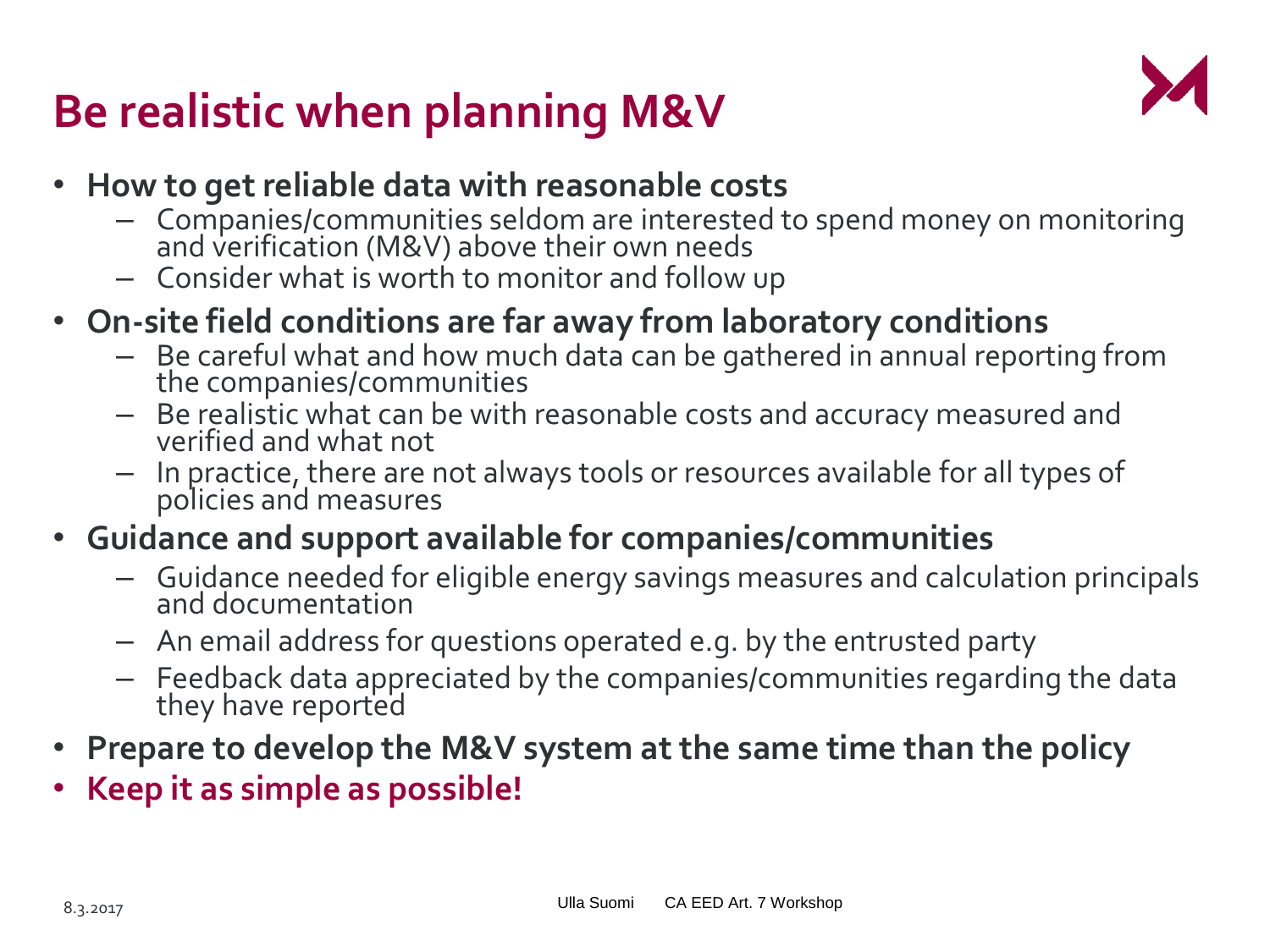## **Be realistic when planning M&V**



- **How to get reliable data with reasonable costs**
	- Companies/communities seldom are interested to spend money on monitoring and verification (M&V) above their own needs
	- Consider what is worth to monitor and follow up
- **On-site field conditions are far away from laboratory conditions**
	- Be careful what and how much data can be gathered in annual reporting from the companies/communities
	- Be realistic what can be with reasonable costs and accuracy measured and verified and what not
	- In practice, there are not always tools or resources available for all types of policies and measures
- **Guidance and support available for companies/communities** 
	- Guidance needed for eligible energy savings measures and calculation principals and documentation
	- An email address for questions operated e.g. by the entrusted party
	- Feedback data appreciated by the companies/communities regarding the data they have reported
- **Prepare to develop the M&V system at the same time than the policy**
- **Keep it as simple as possible!**